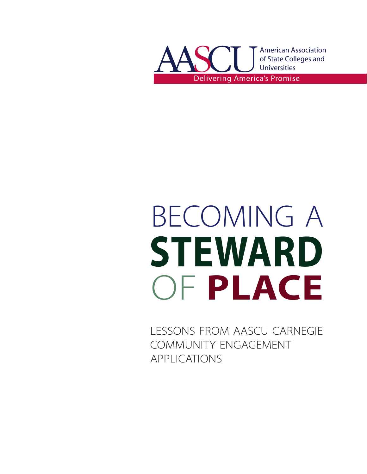

# BECOMING A **STEWARD** OF **PLACE**

lessons from aascu carnegie community engagement applications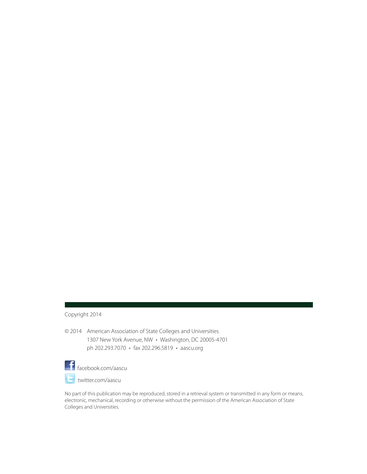#### Copyright 2014

© 2014 American Association of State Colleges and Universities 1307 New York Avenue, NW • Washington, DC 20005-4701 ph 202.293.7070 • fax 202.296.5819 • aascu.org



facebook.com/aascu

twitter.com/aascu

No part of this publication may be reproduced, stored in a retrieval system or transmitted in any form or means, electronic, mechanical, recording or otherwise without the permission of the American Association of State Colleges and Universities.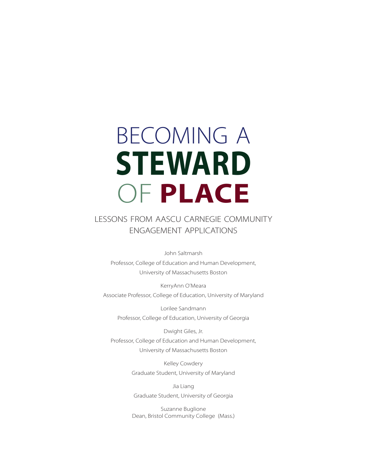# becoming a **STEWARD** OF **PLACE**

# lessons from aascu carnegie community engagement applications

John Saltmarsh Professor, College of Education and Human Development, University of Massachusetts Boston

KerryAnn O'Meara Associate Professor, College of Education, University of Maryland

Lorilee Sandmann Professor, College of Education, University of Georgia

Dwight Giles, Jr. Professor, College of Education and Human Development, University of Massachusetts Boston

> Kelley Cowdery Graduate Student, University of Maryland

Jia Liang Graduate Student, University of Georgia

Suzanne Buglione Dean, Bristol Community College (Mass.)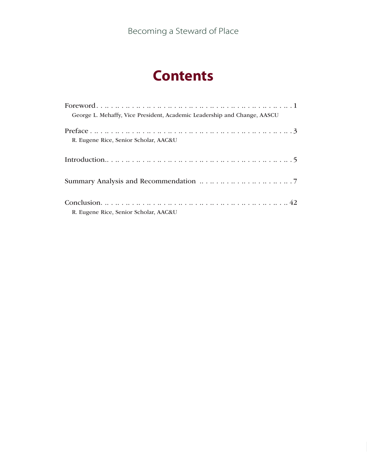# **Contents**

| George L. Mehaffy, Vice President, Academic Leadership and Change, AASCU |
|--------------------------------------------------------------------------|
| R. Eugene Rice, Senior Scholar, AAC&U                                    |
|                                                                          |
|                                                                          |
| R. Eugene Rice, Senior Scholar, AAC&U                                    |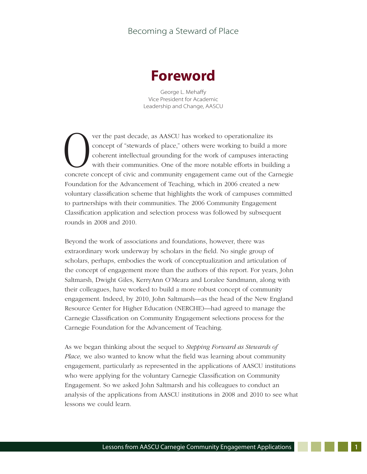# **Foreword**

George L. Mehaffy Vice President for Academic Leadership and Change, AASCU

Ver the past decade, as AASCU has worked to operationalize its<br>
concept of "stewards of place," others were working to build a n<br>
coherent intellectual grounding for the work of campuses intera<br>
with their communities. One concept of "stewards of place," others were working to build a more coherent intellectual grounding for the work of campuses interacting with their communities. One of the more notable efforts in building a concrete concept of civic and community engagement came out of the Carnegie Foundation for the Advancement of Teaching, which in 2006 created a new voluntary classification scheme that highlights the work of campuses committed to partnerships with their communities. The 2006 Community Engagement Classification application and selection process was followed by subsequent rounds in 2008 and 2010.

Beyond the work of associations and foundations, however, there was extraordinary work underway by scholars in the field. No single group of scholars, perhaps, embodies the work of conceptualization and articulation of the concept of engagement more than the authors of this report. For years, John Saltmarsh, Dwight Giles, KerryAnn O'Meara and Loralee Sandmann, along with their colleagues, have worked to build a more robust concept of community engagement. Indeed, by 2010, John Saltmarsh—as the head of the New England Resource Center for Higher Education (NERCHE)—had agreed to manage the Carnegie Classification on Community Engagement selections process for the Carnegie Foundation for the Advancement of Teaching.

As we began thinking about the sequel to *Stepping Forward as Stewards of Place,* we also wanted to know what the field was learning about community engagement, particularly as represented in the applications of AASCU institutions who were applying for the voluntary Carnegie Classification on Community Engagement. So we asked John Saltmarsh and his colleagues to conduct an analysis of the applications from AASCU institutions in 2008 and 2010 to see what lessons we could learn.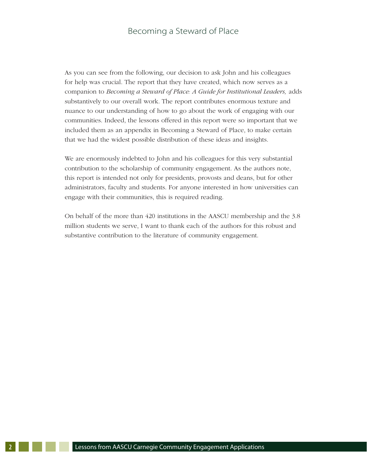As you can see from the following, our decision to ask John and his colleagues for help was crucial. The report that they have created, which now serves as a companion to *Becoming a Steward of Place: A Guide for Institutional Leaders,* adds substantively to our overall work. The report contributes enormous texture and nuance to our understanding of how to go about the work of engaging with our communities. Indeed, the lessons offered in this report were so important that we included them as an appendix in Becoming a Steward of Place, to make certain that we had the widest possible distribution of these ideas and insights.

We are enormously indebted to John and his colleagues for this very substantial contribution to the scholarship of community engagement. As the authors note, this report is intended not only for presidents, provosts and deans, but for other administrators, faculty and students. For anyone interested in how universities can engage with their communities, this is required reading.

On behalf of the more than 420 institutions in the AASCU membership and the 3.8 million students we serve, I want to thank each of the authors for this robust and substantive contribution to the literature of community engagement.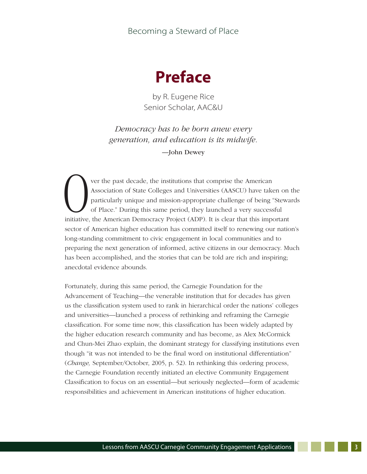

by R. Eugene Rice Senior Scholar, AAC&U

*Democracy has to be born anew every generation, and education is its midwife.*

—John Dewey

Ver the past decade, the institutions that comprise the American<br>Association of State Colleges and Universities (AASCU) have take<br>particularly unique and mission-appropriate challenge of being<br>of Place." During this same p Association of State Colleges and Universities (AASCU) have taken on the particularly unique and mission-appropriate challenge of being "Stewards of Place." During this same period, they launched a very successful initiative, the American Democracy Project (ADP). It is clear that this important sector of American higher education has committed itself to renewing our nation's long-standing commitment to civic engagement in local communities and to preparing the next generation of informed, active citizens in our democracy. Much has been accomplished, and the stories that can be told are rich and inspiring; anecdotal evidence abounds.

Fortunately, during this same period, the Carnegie Foundation for the Advancement of Teaching—the venerable institution that for decades has given us the classification system used to rank in hierarchical order the nations' colleges and universities—launched a process of rethinking and reframing the Carnegie classification. For some time now, this classification has been widely adapted by the higher education research community and has become, as Alex McCormick and Chun-Mei Zhao explain, the dominant strategy for classifying institutions even though "it was not intended to be the final word on institutional differentiation" (*Change,* September/October, 2005, p. 52). In rethinking this ordering process, the Carnegie Foundation recently initiated an elective Community Engagement Classification to focus on an essential—but seriously neglected—form of academic responsibilities and achievement in American institutions of higher education.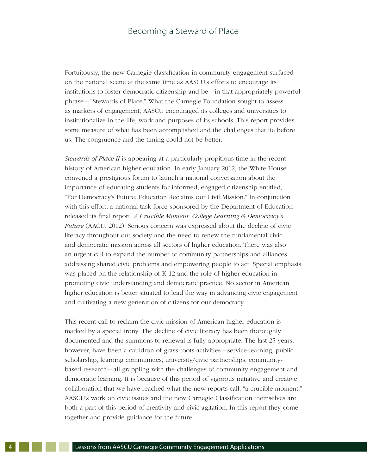Fortuitously, the new Carnegie classification in community engagement surfaced on the national scene at the same time as AASCU's efforts to encourage its institutions to foster democratic citizenship and be—in that appropriately powerful phrase—"Stewards of Place." What the Carnegie Foundation sought to assess as markers of engagement, AASCU encouraged its colleges and universities to institutionalize in the life, work and purposes of its schools. This report provides some measure of what has been accomplished and the challenges that lie before us. The congruence and the timing could not be better.

*Stewards of Place II* is appearing at a particularly propitious time in the recent history of American higher education. In early January 2012, the White House convened a prestigious forum to launch a national conversation about the importance of educating students for informed, engaged citizenship entitled, "For Democracy's Future: Education Reclaims our Civil Mission." In conjunction with this effort, a national task force sponsored by the Department of Education released its final report, *A Crucible Moment: College Learning & Democracy's Future* (AACU, 2012). Serious concern was expressed about the decline of civic literacy throughout our society and the need to renew the fundamental civic and democratic mission across all sectors of higher education. There was also an urgent call to expand the number of community partnerships and alliances addressing shared civic problems and empowering people to act. Special emphasis was placed on the relationship of K-12 and the role of higher education in promoting civic understanding and democratic practice. No sector in American higher education is better situated to lead the way in advancing civic engagement and cultivating a new generation of citizens for our democracy.

This recent call to reclaim the civic mission of American higher education is marked by a special irony. The decline of civic literacy has been thoroughly documented and the summons to renewal is fully appropriate. The last 25 years, however, have been a cauldron of grass-roots activities—service-learning, public scholarship, learning communities, university/civic partnerships, communitybased research—all grappling with the challenges of community engagement and democratic learning. It is because of this period of vigorous initiative and creative collaboration that we have reached what the new reports call, "a crucible moment." AASCU's work on civic issues and the new Carnegie Classification themselves are both a part of this period of creativity and civic agitation. In this report they come together and provide guidance for the future.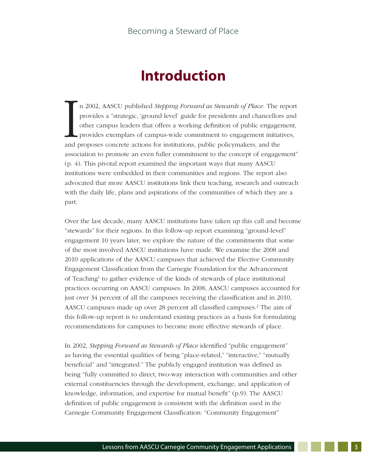# **Introduction**

In 2002, AASCU published *Stepping Forward as Stewards of Place*. The r provides a "strategic, 'ground level' guide for presidents and chancellors other campus leaders that offers a working definition of public engagement n 2002, AASCU published *Stepping Forward as Stewards of Place.* The report provides a "strategic, 'ground level' guide for presidents and chancellors and other campus leaders that offers a working definition of public engagement, provides exemplars of campus-wide commitment to engagement initiatives, association to promote an even fuller commitment to the concept of engagement" (p. 4). This pivotal report examined the important ways that many AASCU institutions were embedded in their communities and regions. The report also advocated that more AASCU institutions link their teaching, research and outreach with the daily life, plans and aspirations of the communities of which they are a part.

Over the last decade, many AASCU institutions have taken up this call and become "stewards" for their regions. In this follow-up report examining "ground-level" engagement 10 years later, we explore the nature of the commitments that some of the most involved AASCU institutions have made. We examine the 2008 and 2010 applications of the AASCU campuses that achieved the Elective Community Engagement Classification from the Carnegie Foundation for the Advancement of Teaching<sup>1</sup> to gather evidence of the kinds of stewards of place institutional practices occurring on AASCU campuses. In 2008, AASCU campuses accounted for just over 34 percent of all the campuses receiving the classification and in 2010, AASCU campuses made up over 28 percent all classified campuses.<sup>2</sup> The aim of this follow-up report is to understand existing practices as a basis for formulating recommendations for campuses to become more effective stewards of place.

In 2002, *Stepping Forward as Stewards of Place* identified "public engagement" as having the essential qualities of being "place-related," "interactive," "mutually beneficial" and "integrated." The publicly engaged institution was defined as being "fully committed to direct, two-way interaction with communities and other external constituencies through the development, exchange, and application of knowledge, information, and expertise for mutual benefit" (p.9). The AASCU definition of public engagement is consistent with the definition used in the Carnegie Community Engagement Classification: "Community Engagement"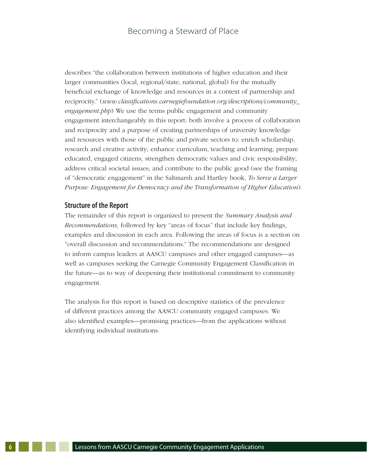describes "the collaboration between institutions of higher education and their larger communities (local, regional/state, national, global) for the mutually beneficial exchange of knowledge and resources in a context of partnership and reciprocity." (*www.classifications.carnegiefoundation.org/descriptions/community\_ engagement.php*) We use the terms public engagement and community engagement interchangeably in this report: both involve a process of collaboration and reciprocity and a purpose of creating partnerships of university knowledge and resources with those of the public and private sectors to: enrich scholarship, research and creative activity; enhance curriculum, teaching and learning; prepare educated, engaged citizens; strengthen democratic values and civic responsibility; address critical societal issues; and contribute to the public good (see the framing of "democratic engagement" in the Saltmarsh and Hartley book, *To Serve a Larger Purpose: Engagement for Democracy and the Transformation of Higher Education*).

#### **Structure of the Report**

The remainder of this report is organized to present the *Summary Analysis and Recommendations,* followed by key "areas of focus" that include key findings, examples and discussion in each area. Following the areas of focus is a section on "overall discussion and recommendations." The recommendations are designed to inform campus leaders at AASCU campuses and other engaged campuses—as well as campuses seeking the Carnegie Community Engagement Classification in the future—as to way of deepening their institutional commitment to community engagement.

The analysis for this report is based on descriptive statistics of the prevalence of different practices among the AASCU community engaged campuses. We also identified examples—promising practices—from the applications without identifying individual institutions.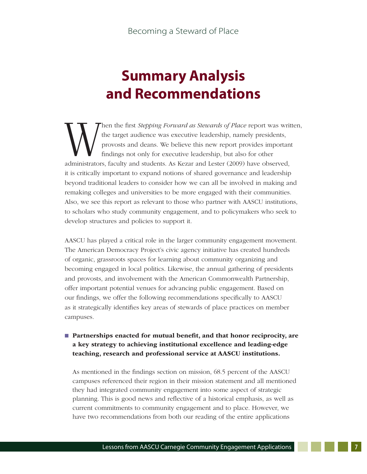# **Summary Analysis and Recommendations**

Then the first *Stepping Forward as Stewards of Place* report was written,<br>the target audience was executive leadership, namely presidents,<br>provosts and deans. We believe this new report provides important<br>findings not onl the target audience was executive leadership, namely presidents, provosts and deans. We believe this new report provides important findings not only for executive leadership, but also for other administrators, faculty and students. As Kezar and Lester (2009) have observed, it is critically important to expand notions of shared governance and leadership beyond traditional leaders to consider how we can all be involved in making and remaking colleges and universities to be more engaged with their communities. Also, we see this report as relevant to those who partner with AASCU institutions, to scholars who study community engagement, and to policymakers who seek to develop structures and policies to support it.

AASCU has played a critical role in the larger community engagement movement. The American Democracy Project's civic agency initiative has created hundreds of organic, grassroots spaces for learning about community organizing and becoming engaged in local politics. Likewise, the annual gathering of presidents and provosts, and involvement with the American Commonwealth Partnership, offer important potential venues for advancing public engagement. Based on our findings, we offer the following recommendations specifically to AASCU as it strategically identifies key areas of stewards of place practices on member campuses.

# n Partnerships enacted for mutual benefit, and that honor reciprocity, are a key strategy to achieving institutional excellence and leading-edge teaching, research and professional service at AASCU institutions.

As mentioned in the findings section on mission, 68.5 percent of the AASCU campuses referenced their region in their mission statement and all mentioned they had integrated community engagement into some aspect of strategic planning. This is good news and reflective of a historical emphasis, as well as current commitments to community engagement and to place. However, we have two recommendations from both our reading of the entire applications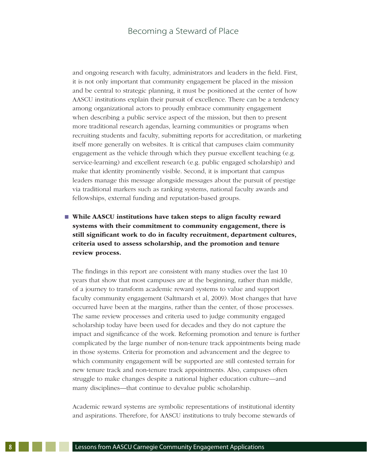and ongoing research with faculty, administrators and leaders in the field. First, it is not only important that community engagement be placed in the mission and be central to strategic planning, it must be positioned at the center of how AASCU institutions explain their pursuit of excellence. There can be a tendency among organizational actors to proudly embrace community engagement when describing a public service aspect of the mission, but then to present more traditional research agendas, learning communities or programs when recruiting students and faculty, submitting reports for accreditation, or marketing itself more generally on websites. It is critical that campuses claim community engagement as the vehicle through which they pursue excellent teaching (e.g. service-learning) and excellent research (e.g. public engaged scholarship) and make that identity prominently visible. Second, it is important that campus leaders manage this message alongside messages about the pursuit of prestige via traditional markers such as ranking systems, national faculty awards and fellowships, external funding and reputation-based groups.

# ■ While AASCU institutions have taken steps to align faculty reward systems with their commitment to community engagement, there is still significant work to do in faculty recruitment, department cultures, criteria used to assess scholarship, and the promotion and tenure review process.

The findings in this report are consistent with many studies over the last 10 years that show that most campuses are at the beginning, rather than middle, of a journey to transform academic reward systems to value and support faculty community engagement (Saltmarsh et al, 2009). Most changes that have occurred have been at the margins, rather than the center, of those processes. The same review processes and criteria used to judge community engaged scholarship today have been used for decades and they do not capture the impact and significance of the work. Reforming promotion and tenure is further complicated by the large number of non-tenure track appointments being made in those systems. Criteria for promotion and advancement and the degree to which community engagement will be supported are still contested terrain for new tenure track and non-tenure track appointments. Also, campuses often struggle to make changes despite a national higher education culture—and many disciplines—that continue to devalue public scholarship.

Academic reward systems are symbolic representations of institutional identity and aspirations. Therefore, for AASCU institutions to truly become stewards of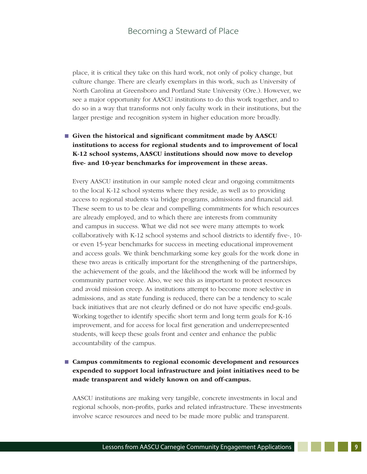place, it is critical they take on this hard work, not only of policy change, but culture change. There are clearly exemplars in this work, such as University of North Carolina at Greensboro and Portland State University (Ore.). However, we see a major opportunity for AASCU institutions to do this work together, and to do so in a way that transforms not only faculty work in their institutions, but the larger prestige and recognition system in higher education more broadly.

# ■ Given the historical and significant commitment made by AASCU institutions to access for regional students and to improvement of local K-12 school systems, AASCU institutions should now move to develop five- and 10-year benchmarks for improvement in these areas.

Every AASCU institution in our sample noted clear and ongoing commitments to the local K-12 school systems where they reside, as well as to providing access to regional students via bridge programs, admissions and financial aid. These seem to us to be clear and compelling commitments for which resources are already employed, and to which there are interests from community and campus in success. What we did not see were many attempts to work collaboratively with K-12 school systems and school districts to identify five-, 10 or even 15-year benchmarks for success in meeting educational improvement and access goals. We think benchmarking some key goals for the work done in these two areas is critically important for the strengthening of the partnerships, the achievement of the goals, and the likelihood the work will be informed by community partner voice. Also, we see this as important to protect resources and avoid mission creep. As institutions attempt to become more selective in admissions, and as state funding is reduced, there can be a tendency to scale back initiatives that are not clearly defined or do not have specific end-goals. Working together to identify specific short term and long term goals for K-16 improvement, and for access for local first generation and underrepresented students, will keep these goals front and center and enhance the public accountability of the campus.

# ■ Campus commitments to regional economic development and resources expended to support local infrastructure and joint initiatives need to be made transparent and widely known on and off-campus.

AASCU institutions are making very tangible, concrete investments in local and regional schools, non-profits, parks and related infrastructure. These investments involve scarce resources and need to be made more public and transparent.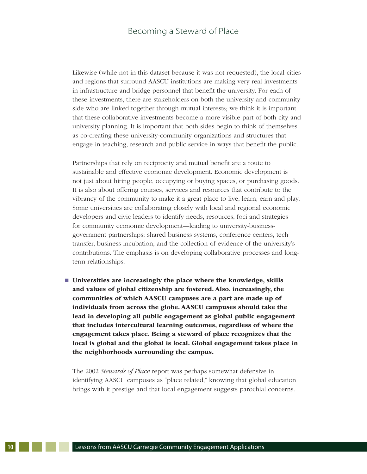Likewise (while not in this dataset because it was not requested), the local cities and regions that surround AASCU institutions are making very real investments in infrastructure and bridge personnel that benefit the university. For each of these investments, there are stakeholders on both the university and community side who are linked together through mutual interests; we think it is important that these collaborative investments become a more visible part of both city and university planning. It is important that both sides begin to think of themselves as co-creating these university-community organizations and structures that engage in teaching, research and public service in ways that benefit the public.

Partnerships that rely on reciprocity and mutual benefit are a route to sustainable and effective economic development. Economic development is not just about hiring people, occupying or buying spaces, or purchasing goods. It is also about offering courses, services and resources that contribute to the vibrancy of the community to make it a great place to live, learn, earn and play. Some universities are collaborating closely with local and regional economic developers and civic leaders to identify needs, resources, foci and strategies for community economic development—leading to university-businessgovernment partnerships; shared business systems, conference centers, tech transfer, business incubation, and the collection of evidence of the university's contributions. The emphasis is on developing collaborative processes and longterm relationships.

 $\blacksquare$  Universities are increasingly the place where the knowledge, skills and values of global citizenship are fostered. Also, increasingly, the communities of which AASCU campuses are a part are made up of individuals from across the globe. AASCU campuses should take the lead in developing all public engagement as global public engagement that includes intercultural learning outcomes, regardless of where the engagement takes place. Being a steward of place recognizes that the local is global and the global is local. Global engagement takes place in the neighborhoods surrounding the campus.

The 2002 *Stewards of Place* report was perhaps somewhat defensive in identifying AASCU campuses as "place related," knowing that global education brings with it prestige and that local engagement suggests parochial concerns.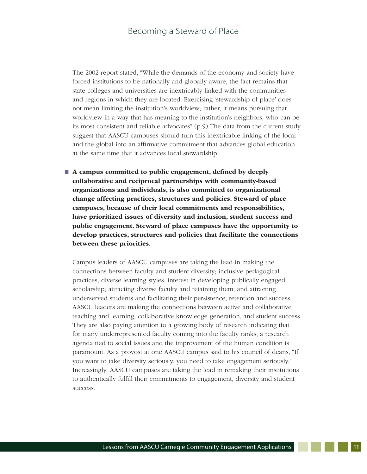The 2002 report stated, "While the demands of the economy and society have forced institutions to be nationally and globally aware, the fact remains that state colleges and universities are inextricably linked with the communities and regions in which they are located. Exercising 'stewardship of place' does not mean limiting the institution's worldview; rather, it means pursuing that worldview in a way that has meaning to the institution's neighbors, who can be its most consistent and reliable advocates" (p.9) The data from the current study suggest that AASCU campuses should turn this inextricable linking of the local and the global into an affirmative commitment that advances global education at the same time that it advances local stewardship.

 $\blacksquare$  A campus committed to public engagement, defined by deeply collaborative and reciprocal partnerships with community-based organizations and individuals, is also committed to organizational change affecting practices, structures and policies. Steward of place campuses, because of their local commitments and responsibilities, have prioritized issues of diversity and inclusion, student success and public engagement. Steward of place campuses have the opportunity to develop practices, structures and policies that facilitate the connections between these priorities.

Campus leaders of AASCU campuses are taking the lead in making the connections between faculty and student diversity; inclusive pedagogical practices; diverse learning styles; interest in developing publically engaged scholarship; attracting diverse faculty and retaining them; and attracting underserved students and facilitating their persistence, retention and success. AASCU leaders are making the connections between active and collaborative teaching and learning, collaborative knowledge generation, and student success. They are also paying attention to a growing body of research indicating that for many underrepresented faculty coming into the faculty ranks, a research agenda tied to social issues and the improvement of the human condition is paramount. As a provost at one AASCU campus said to his council of deans, "If you want to take diversity seriously, you need to take engagement seriously." Increasingly, AASCU campuses are taking the lead in remaking their institutions to authentically fulfill their commitments to engagement, diversity and student success.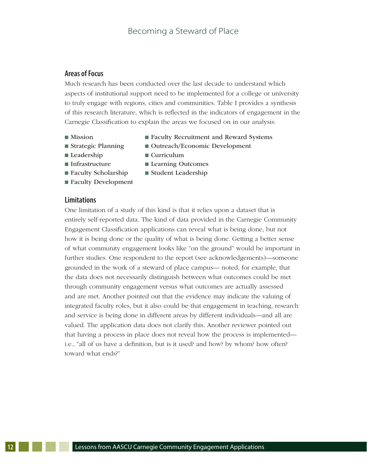## **Areas of Focus**

Much research has been conducted over the last decade to understand which aspects of institutional support need to be implemented for a college or university to truly engage with regions, cities and communities. Table I provides a synthesis of this research literature, which is reflected in the indicators of engagement in the Carnegie Classification to explain the areas we focused on in our analysis:

- 
- Mission Faculty Recruitment and Reward Systems
- Strategic Planning Outreach/Economic Development
- Leadership Curriculum
	-
- 
- 
- Faculty Development
- **Limitations**
- Infrastructure Learning Outcomes
- $\blacksquare$  Faculty Scholarship  $\blacksquare$  Student Leadership

One limitation of a study of this kind is that it relies upon a dataset that is entirely self-reported data. The kind of data provided in the Carnegie Community Engagement Classification applications can reveal what is being done, but not how it is being done or the quality of what is being done. Getting a better sense of what community engagement looks like "on the ground" would be important in further studies. One respondent to the report (see acknowledgements)—someone grounded in the work of a steward of place campus— noted, for example, that the data does not necessarily distinguish between what outcomes could be met through community engagement versus what outcomes are actually assessed and are met. Another pointed out that the evidence may indicate the valuing of integrated faculty roles, but it also could be that engagement in teaching, research and service is being done in different areas by different individuals—and all are valued. The application data does not clarify this. Another reviewer pointed out that having a process in place does not reveal how the process is implemented i.e., "all of us have a definition, but is it used? and how? by whom? how often? toward what ends?"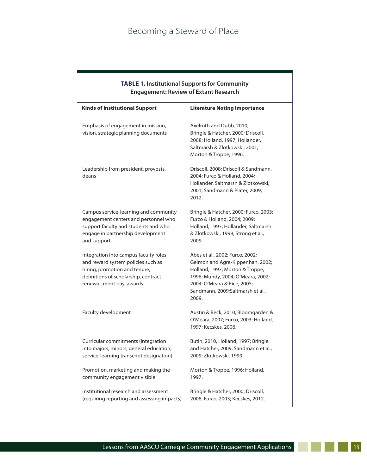| <b>TABLE 1. Institutional Supports for Community</b><br><b>Engagement: Review of Extant Research</b>                                                                               |                                                                                                                                                                                                                         |  |
|------------------------------------------------------------------------------------------------------------------------------------------------------------------------------------|-------------------------------------------------------------------------------------------------------------------------------------------------------------------------------------------------------------------------|--|
| <b>Kinds of Institutional Support</b>                                                                                                                                              | <b>Literature Noting Importance</b>                                                                                                                                                                                     |  |
| Emphasis of engagement in mission,<br>vision, strategic planning documents                                                                                                         | Axelroth and Dubb, 2010;<br>Bringle & Hatcher, 2000; Driscoll,<br>2008; Holland, 1997; Hollander,<br>Saltmarsh & Zlotkowski, 2001;<br>Morton & Troppe, 1996.                                                            |  |
| Leadership from president, provosts,<br>deans                                                                                                                                      | Driscoll, 2008; Driscoll & Sandmann,<br>2004; Furco & Holland, 2004;<br>Hollander, Saltmarsh & Zlotkowski,<br>2001; Sandmann & Plater, 2009,<br>2012.                                                                   |  |
| Campus service-learning and community<br>engagement centers and personnel who<br>support faculty and students and who<br>engage in partnership development<br>and support          | Bringle & Hatcher, 2000; Furco, 2003;<br>Furco & Holland, 2004; 2009;<br>Holland, 1997; Hollander, Saltmarsh<br>& Zlotkowski, 1999; Strong et al.,<br>2009.                                                             |  |
| Integration into campus faculty roles<br>and reward system policies such as<br>hiring, promotion and tenure,<br>definitions of scholarship, contract<br>renewal, merit pay, awards | Abes et al., 2002; Furco, 2002;<br>Gelmon and Agre-Kippenhan, 2002;<br>Holland, 1997; Morton & Troppe,<br>1996; Mundy, 2004; O'Meara, 2002;<br>2004; O'Meara & Rice, 2005;<br>Sandmann, 2009;Saltmarsh et al.,<br>2009. |  |
| Faculty development                                                                                                                                                                | Austin & Beck, 2010; Bloomgarden &<br>O'Meara, 2007; Furco, 2003; Holland,<br>1997; Kecskes, 2006.                                                                                                                      |  |
| Curricular commitments (integration<br>into majors, minors, general education,<br>service-learning transcript designation)                                                         | Butin, 2010, Holland, 1997; Bringle<br>and Hatcher, 2009; Sandmann et al.,<br>2009; Zlotkowski, 1999.                                                                                                                   |  |
| Promotion, marketing and making the<br>community engagement visible                                                                                                                | Morton & Troppe, 1996; Holland,<br>1997.                                                                                                                                                                                |  |
| Institutional research and assessment<br>(requiring reporting and assessing impacts)                                                                                               | Bringle & Hatcher, 2000; Driscoll,<br>2008, Furco, 2003; Kecskes, 2012.                                                                                                                                                 |  |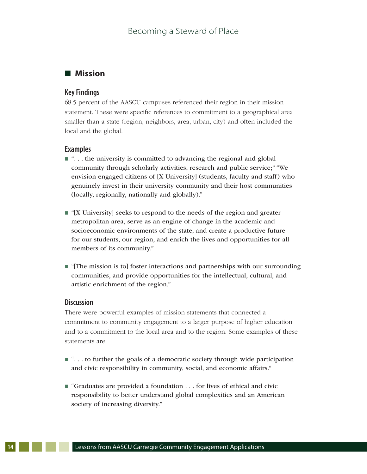# **n** Mission

#### **Key Findings**

68.5 percent of the AASCU campuses referenced their region in their mission statement. These were specific references to commitment to a geographical area smaller than a state (region, neighbors, area, urban, city) and often included the local and the global.

#### **Examples**

- $\blacksquare$  "... the university is committed to advancing the regional and global community through scholarly activities, research and public service;" "We envision engaged citizens of [X University] (students, faculty and staff) who genuinely invest in their university community and their host communities (locally, regionally, nationally and globally)."
- $\blacksquare$  "[X University] seeks to respond to the needs of the region and greater metropolitan area, serve as an engine of change in the academic and socioeconomic environments of the state, and create a productive future for our students, our region, and enrich the lives and opportunities for all members of its community."
- n "[The mission is to] foster interactions and partnerships with our surrounding communities, and provide opportunities for the intellectual, cultural, and artistic enrichment of the region."

#### **Discussion**

There were powerful examples of mission statements that connected a commitment to community engagement to a larger purpose of higher education and to a commitment to the local area and to the region. Some examples of these statements are:

- $\blacksquare$  "... to further the goals of a democratic society through wide participation and civic responsibility in community, social, and economic affairs."
- "Graduates are provided a foundation . . . for lives of ethical and civic responsibility to better understand global complexities and an American society of increasing diversity."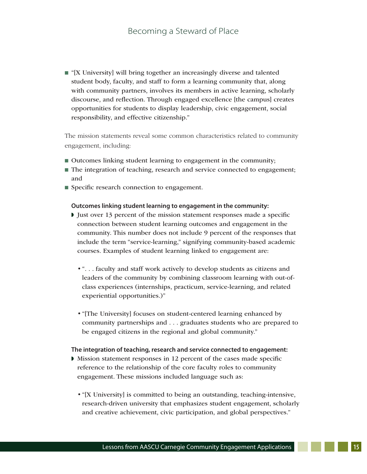$\blacksquare$  "[X University] will bring together an increasingly diverse and talented student body, faculty, and staff to form a learning community that, along with community partners, involves its members in active learning, scholarly discourse, and reflection. Through engaged excellence [the campus] creates opportunities for students to display leadership, civic engagement, social responsibility, and effective citizenship."

The mission statements reveal some common characteristics related to community engagement, including:

- $\blacksquare$  Outcomes linking student learning to engagement in the community;
- $\blacksquare$  The integration of teaching, research and service connected to engagement; and
- Specific research connection to engagement.

#### **Outcomes linking student learning to engagement in the community:**

- I Just over 13 percent of the mission statement responses made a specific connection between student learning outcomes and engagement in the community. This number does not include 9 percent of the responses that include the term "service-learning," signifying community-based academic courses. Examples of student learning linked to engagement are:
	- "... faculty and staff work actively to develop students as citizens and leaders of the community by combining classroom learning with out-ofclass experiences (internships, practicum, service-learning, and related experiential opportunities.)"
	- "[The University] focuses on student-centered learning enhanced by community partnerships and ... graduates students who are prepared to be engaged citizens in the regional and global community."

#### **The integration of teaching, research and service connected to engagement:**

- Mission statement responses in 12 percent of the cases made specific reference to the relationship of the core faculty roles to community engagement. These missions included language such as:
	- "[X University] is committed to being an outstanding, teaching-intensive, research-driven university that emphasizes student engagement, scholarly and creative achievement, civic participation, and global perspectives."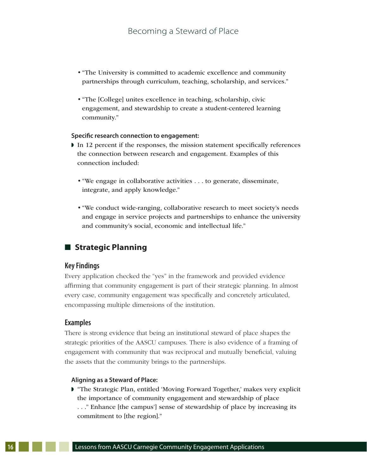- "The University is committed to academic excellence and community partnerships through curriculum, teaching, scholarship, and services."
- "The [College] unites excellence in teaching, scholarship, civic engagement, and stewardship to create a student-centered learning community."

#### **Specific research connection to engagement:**

- In 12 percent if the responses, the mission statement specifically references the connection between research and engagement. Examples of this connection included:
	- "We engage in collaborative activities . . . to generate, disseminate, integrate, and apply knowledge."
	- "We conduct wide-ranging, collaborative research to meet society's needs and engage in service projects and partnerships to enhance the university and community's social, economic and intellectual life."

# **n** Strategic Planning

#### **Key Findings**

Every application checked the "yes" in the framework and provided evidence affirming that community engagement is part of their strategic planning. In almost every case, community engagement was specifically and concretely articulated, encompassing multiple dimensions of the institution.

#### **Examples**

There is strong evidence that being an institutional steward of place shapes the strategic priorities of the AASCU campuses. There is also evidence of a framing of engagement with community that was reciprocal and mutually beneficial, valuing the assets that the community brings to the partnerships.

#### **Aligning as a Steward of Place:**

**F** "The Strategic Plan, entitled 'Moving Forward Together,' makes very explicit the importance of community engagement and stewardship of place . . ." Enhance [the campus'] sense of stewardship of place by increasing its commitment to [the region]."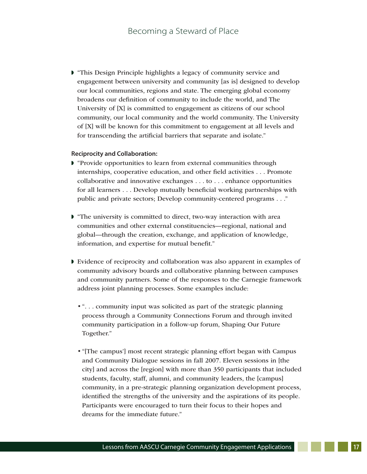$\triangleright$  "This Design Principle highlights a legacy of community service and engagement between university and community [as is] designed to develop our local communities, regions and state. The emerging global economy broadens our definition of community to include the world, and The University of [X] is committed to engagement as citizens of our school community, our local community and the world community. The University of [X] will be known for this commitment to engagement at all levels and for transcending the artificial barriers that separate and isolate."

#### **Reciprocity and Collaboration:**

- $\blacktriangleright$  "Provide opportunities to learn from external communities through internships, cooperative education, and other field activities ... Promote collaborative and innovative exchanges ... to ... enhance opportunities for all learners ... Develop mutually beneficial working partnerships with public and private sectors; Develop community-centered programs ..."
- $\blacktriangleright$  "The university is committed to direct, two-way interaction with area communities and other external constituencies—regional, national and global—through the creation, exchange, and application of knowledge, information, and expertise for mutual benefit."
- If Evidence of reciprocity and collaboration was also apparent in examples of community advisory boards and collaborative planning between campuses and community partners. Some of the responses to the Carnegie framework address joint planning processes. Some examples include:
	- "... community input was solicited as part of the strategic planning process through a Community Connections Forum and through invited community participation in a follow-up forum, Shaping Our Future Together."
	- "[The campus'] most recent strategic planning effort began with Campus and Community Dialogue sessions in fall 2007. Eleven sessions in [the city] and across the [region] with more than 350 participants that included students, faculty, staff, alumni, and community leaders, the [campus] community, in a pre-strategic planning organization development process, identified the strengths of the university and the aspirations of its people. Participants were encouraged to turn their focus to their hopes and dreams for the immediate future."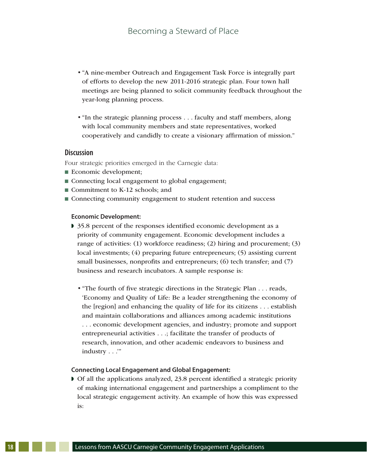- "A nine-member Outreach and Engagement Task Force is integrally part of efforts to develop the new 2011-2016 strategic plan. Four town hall meetings are being planned to solicit community feedback throughout the year-long planning process.
- "In the strategic planning process . . . faculty and staff members, along with local community members and state representatives, worked cooperatively and candidly to create a visionary affirmation of mission."

#### **Discussion**

Four strategic priorities emerged in the Carnegie data:

- $\blacksquare$  Economic development;
- Connecting local engagement to global engagement;
- $\blacksquare$  Commitment to K-12 schools; and
- Connecting community engagement to student retention and success

#### **Economic Development:**

- **1** 35.8 percent of the responses identified economic development as a priority of community engagement. Economic development includes a range of activities: (1) workforce readiness; (2) hiring and procurement; (3) local investments; (4) preparing future entrepreneurs; (5) assisting current small businesses, nonprofits and entrepreneurs; (6) tech transfer; and (7) business and research incubators. A sample response is:
	- "The fourth of five strategic directions in the Strategic Plan . . . reads, 'Economy and Quality of Life: Be a leader strengthening the economy of the [region] and enhancing the quality of life for its citizens ... establish and maintain collaborations and alliances among academic institutions ... economic development agencies, and industry; promote and support entrepreneurial activities ...; facilitate the transfer of products of research, innovation, and other academic endeavors to business and industry . . .'"

#### **Connecting Local Engagement and Global Engagement:**

 $\triangleright$  Of all the applications analyzed, 23.8 percent identified a strategic priority of making international engagement and partnerships a compliment to the local strategic engagement activity. An example of how this was expressed is: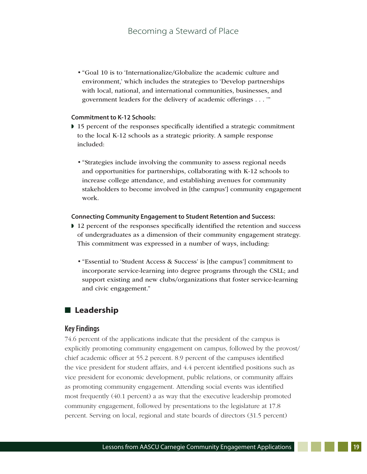• "Goal 10 is to 'Internationalize/Globalize the academic culture and environment,' which includes the strategies to 'Develop partnerships with local, national, and international communities, businesses, and government leaders for the delivery of academic offerings . . . '"

#### **Commitment to K-12 Schools:**

- $\triangleright$  15 percent of the responses specifically identified a strategic commitment to the local K-12 schools as a strategic priority. A sample response included:
	- "Strategies include involving the community to assess regional needs and opportunities for partnerships, collaborating with K-12 schools to increase college attendance, and establishing avenues for community stakeholders to become involved in [the campus'] community engagement work.

#### **Connecting Community Engagement to Student Retention and Success:**

- 12 percent of the responses specifically identified the retention and success of undergraduates as a dimension of their community engagement strategy. This commitment was expressed in a number of ways, including:
	- "Essential to 'Student Access  $\&$  Success' is [the campus'] commitment to incorporate service-learning into degree programs through the CSLL; and support existing and new clubs/organizations that foster service-learning and civic engagement."

#### **n** Leadership

#### **Key Findings**

74.6 percent of the applications indicate that the president of the campus is explicitly promoting community engagement on campus, followed by the provost/ chief academic officer at 55.2 percent. 8.9 percent of the campuses identified the vice president for student affairs, and 4.4 percent identified positions such as vice president for economic development, public relations, or community affairs as promoting community engagement. Attending social events was identified most frequently (40.1 percent) a as way that the executive leadership promoted community engagement, followed by presentations to the legislature at 17.8 percent. Serving on local, regional and state boards of directors (31.5 percent)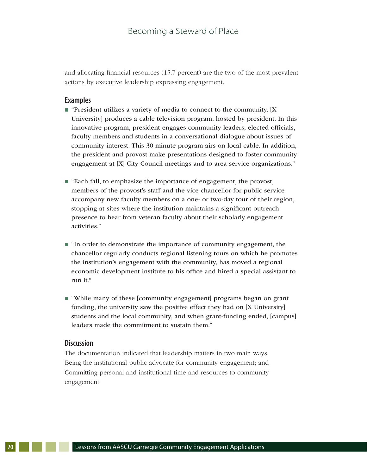and allocating financial resources (15.7 percent) are the two of the most prevalent actions by executive leadership expressing engagement.

#### **Examples**

- $\blacksquare$  "President utilizes a variety of media to connect to the community. [X University] produces a cable television program, hosted by president. In this innovative program, president engages community leaders, elected officials, faculty members and students in a conversational dialogue about issues of community interest. This 30-minute program airs on local cable. In addition, the president and provost make presentations designed to foster community engagement at [X] City Council meetings and to area service organizations."
- $\blacksquare$  "Each fall, to emphasize the importance of engagement, the provost, members of the provost's staff and the vice chancellor for public service accompany new faculty members on a one- or two-day tour of their region, stopping at sites where the institution maintains a significant outreach presence to hear from veteran faculty about their scholarly engagement activities."
- $\blacksquare$  "In order to demonstrate the importance of community engagement, the chancellor regularly conducts regional listening tours on which he promotes the institution's engagement with the community, has moved a regional economic development institute to his office and hired a special assistant to run it."
- $\blacksquare$  "While many of these [community engagement] programs began on grant funding, the university saw the positive effect they had on [X University] students and the local community, and when grant-funding ended, [campus] leaders made the commitment to sustain them."

#### **Discussion**

The documentation indicated that leadership matters in two main ways: Being the institutional public advocate for community engagement; and Committing personal and institutional time and resources to community engagement.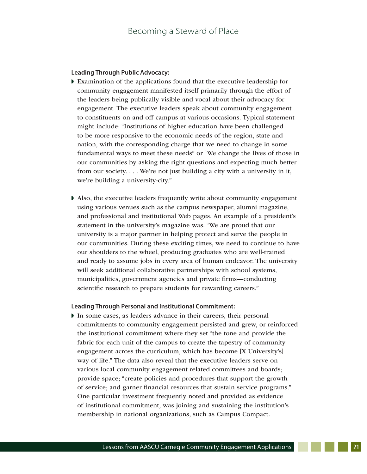#### **Leading Through Public Advocacy:**

- $\blacktriangleright$  Examination of the applications found that the executive leadership for community engagement manifested itself primarily through the effort of the leaders being publically visible and vocal about their advocacy for engagement. The executive leaders speak about community engagement to constituents on and off campus at various occasions. Typical statement might include: "Institutions of higher education have been challenged to be more responsive to the economic needs of the region, state and nation, with the corresponding charge that we need to change in some fundamental ways to meet these needs" or "We change the lives of those in our communities by asking the right questions and expecting much better from our society. . . . We're not just building a city with a university in it, we're building a university-city."
- $\blacktriangleright$  Also, the executive leaders frequently write about community engagement using various venues such as the campus newspaper, alumni magazine, and professional and institutional Web pages. An example of a president's statement in the university's magazine was: "We are proud that our university is a major partner in helping protect and serve the people in our communities. During these exciting times, we need to continue to have our shoulders to the wheel, producing graduates who are well-trained and ready to assume jobs in every area of human endeavor. The university will seek additional collaborative partnerships with school systems, municipalities, government agencies and private firms—conducting scientific research to prepare students for rewarding careers."

#### **Leading Through Personal and Institutional Commitment:**

In some cases, as leaders advance in their careers, their personal commitments to community engagement persisted and grew, or reinforced the institutional commitment where they set "the tone and provide the fabric for each unit of the campus to create the tapestry of community engagement across the curriculum, which has become [X University's] way of life." The data also reveal that the executive leaders serve on various local community engagement related committees and boards; provide space; "create policies and procedures that support the growth of service; and garner financial resources that sustain service programs." One particular investment frequently noted and provided as evidence of institutional commitment, was joining and sustaining the institution's membership in national organizations, such as Campus Compact.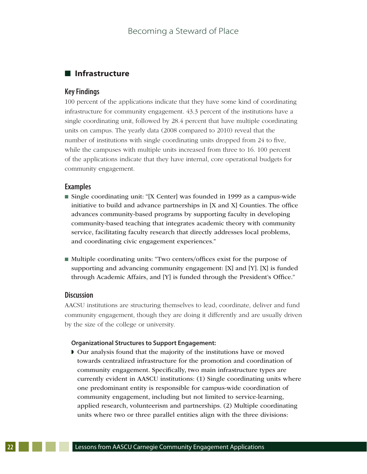# $\blacksquare$  Infrastructure

#### **Key Findings**

100 percent of the applications indicate that they have some kind of coordinating infrastructure for community engagement. 43.3 percent of the institutions have a single coordinating unit, followed by 28.4 percent that have multiple coordinating units on campus. The yearly data (2008 compared to 2010) reveal that the number of institutions with single coordinating units dropped from 24 to five, while the campuses with multiple units increased from three to 16. 100 percent of the applications indicate that they have internal, core operational budgets for community engagement.

#### **Examples**

- Single coordinating unit: "[X Center] was founded in 1999 as a campus-wide initiative to build and advance partnerships in [X and X] Counties. The office advances community-based programs by supporting faculty in developing community-based teaching that integrates academic theory with community service, facilitating faculty research that directly addresses local problems, and coordinating civic engagement experiences."
- $\blacksquare$  Multiple coordinating units: "Two centers/offices exist for the purpose of supporting and advancing community engagement: [X] and [Y]. [X] is funded through Academic Affairs, and [Y] is funded through the President's Office."

#### **Discussion**

AACSU institutions are structuring themselves to lead, coordinate, deliver and fund community engagement, though they are doing it differently and are usually driven by the size of the college or university.

#### **Organizational Structures to Support Engagement:**

w Our analysis found that the majority of the institutions have or moved towards centralized infrastructure for the promotion and coordination of community engagement. Specifically, two main infrastructure types are currently evident in AASCU institutions: (1) Single coordinating units where one predominant entity is responsible for campus-wide coordination of community engagement, including but not limited to service-learning, applied research, volunteerism and partnerships. (2) Multiple coordinating units where two or three parallel entities align with the three divisions: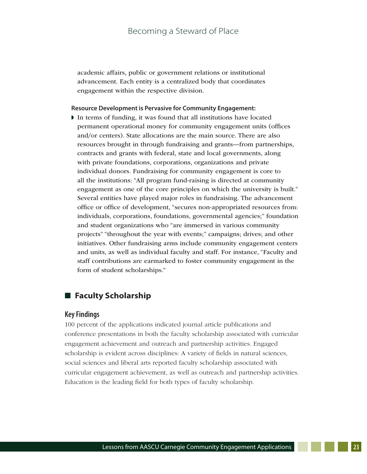academic affairs, public or government relations or institutional advancement. Each entity is a centralized body that coordinates engagement within the respective division.

#### **Resource Development is Pervasive for Community Engagement:**

 $\blacktriangleright$  In terms of funding, it was found that all institutions have located permanent operational money for community engagement units (offices and/or centers). State allocations are the main source. There are also resources brought in through fundraising and grants—from partnerships, contracts and grants with federal, state and local governments, along with private foundations, corporations, organizations and private individual donors. Fundraising for community engagement is core to all the institutions: "All program fund-raising is directed at community engagement as one of the core principles on which the university is built." Several entities have played major roles in fundraising. The advancement office or office of development, "secures non-appropriated resources from: individuals, corporations, foundations, governmental agencies;" foundation and student organizations who "are immersed in various community projects" "throughout the year with events;" campaigns; drives; and other initiatives. Other fundraising arms include community engagement centers and units, as well as individual faculty and staff. For instance, "Faculty and staff contributions are earmarked to foster community engagement in the form of student scholarships."

# **n** Faculty Scholarship

#### **Key Findings**

100 percent of the applications indicated journal article publications and conference presentations in both the faculty scholarship associated with curricular engagement achievement and outreach and partnership activities. Engaged scholarship is evident across disciplines: A variety of fields in natural sciences, social sciences and liberal arts reported faculty scholarship associated with curricular engagement achievement, as well as outreach and partnership activities. Education is the leading field for both types of faculty scholarship.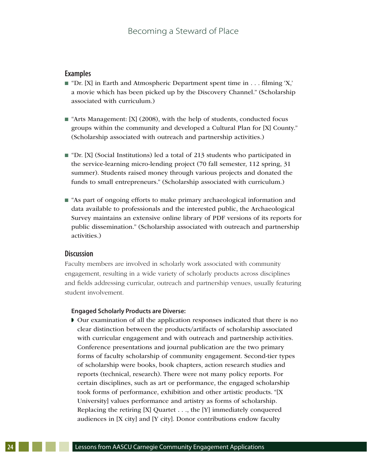#### **Examples**

- $\blacksquare$  "Dr. [X] in Earth and Atmospheric Department spent time in . . . filming 'X,' a movie which has been picked up by the Discovery Channel." (Scholarship associated with curriculum.)
- $\blacksquare$  "Arts Management: [X] (2008), with the help of students, conducted focus groups within the community and developed a Cultural Plan for [X] County." (Scholarship associated with outreach and partnership activities.)
- $\blacksquare$  "Dr. [X] (Social Institutions) led a total of 213 students who participated in the service-learning micro-lending project (70 fall semester, 112 spring, 31 summer). Students raised money through various projects and donated the funds to small entrepreneurs." (Scholarship associated with curriculum.)
- $\blacksquare$  "As part of ongoing efforts to make primary archaeological information and data available to professionals and the interested public, the Archaeological Survey maintains an extensive online library of PDF versions of its reports for public dissemination." (Scholarship associated with outreach and partnership activities.)

### **Discussion**

Faculty members are involved in scholarly work associated with community engagement, resulting in a wide variety of scholarly products across disciplines and fields addressing curricular, outreach and partnership venues, usually featuring student involvement.

#### **Engaged Scholarly Products are Diverse:**

w Our examination of all the application responses indicated that there is no clear distinction between the products/artifacts of scholarship associated with curricular engagement and with outreach and partnership activities. Conference presentations and journal publication are the two primary forms of faculty scholarship of community engagement. Second-tier types of scholarship were books, book chapters, action research studies and reports (technical, research). There were not many policy reports. For certain disciplines, such as art or performance, the engaged scholarship took forms of performance, exhibition and other artistic products. "[X University] values performance and artistry as forms of scholarship. Replacing the retiring [X] Quartet ..., the [Y] immediately conquered audiences in [X city] and [Y city]. Donor contributions endow faculty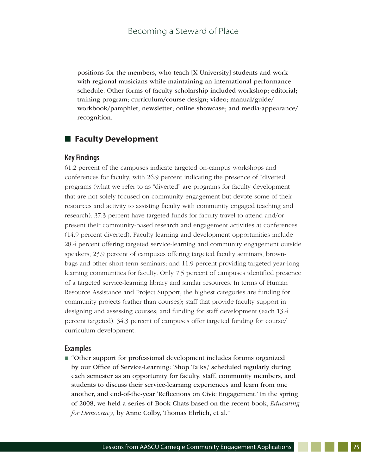positions for the members, who teach [X University] students and work with regional musicians while maintaining an international performance schedule. Other forms of faculty scholarship included workshop; editorial; training program; curriculum/course design; video; manual/guide/ workbook/pamphlet; newsletter; online showcase; and media-appearance/ recognition.

## **E** Faculty Development

#### **Key Findings**

61.2 percent of the campuses indicate targeted on-campus workshops and conferences for faculty, with 26.9 percent indicating the presence of "diverted" programs (what we refer to as "diverted" are programs for faculty development that are not solely focused on community engagement but devote some of their resources and activity to assisting faculty with community engaged teaching and research). 37.3 percent have targeted funds for faculty travel to attend and/or present their community-based research and engagement activities at conferences (14.9 percent diverted). Faculty learning and development opportunities include 28.4 percent offering targeted service-learning and community engagement outside speakers; 23.9 percent of campuses offering targeted faculty seminars, brownbags and other short-term seminars; and 11.9 percent providing targeted year-long learning communities for faculty. Only 7.5 percent of campuses identified presence of a targeted service-learning library and similar resources. In terms of Human Resource Assistance and Project Support, the highest categories are funding for community projects (rather than courses); staff that provide faculty support in designing and assessing courses; and funding for staff development (each 13.4 percent targeted). 34.3 percent of campuses offer targeted funding for course/ curriculum development.

#### **Examples**

 $\blacksquare$  "Other support for professional development includes forums organized by our Office of Service-Learning: 'Shop Talks,' scheduled regularly during each semester as an opportunity for faculty, staff, community members, and students to discuss their service-learning experiences and learn from one another, and end-of-the-year 'Reflections on Civic Engagement.' In the spring of 2008, we held a series of Book Chats based on the recent book, *Educating for Democracy*, by Anne Colby, Thomas Ehrlich, et al."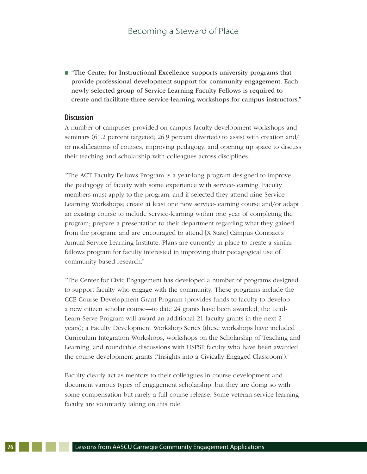$\blacksquare$  "The Center for Instructional Excellence supports university programs that provide professional development support for community engagement. Each newly selected group of Service-Learning Faculty Fellows is required to create and facilitate three service-learning workshops for campus instructors."

#### **Discussion**

A number of campuses provided on-campus faculty development workshops and seminars (61.2 percent targeted; 26.9 percent diverted) to assist with creation and/ or modifications of courses, improving pedagogy, and opening up space to discuss their teaching and scholarship with colleagues across disciplines.

"The ACT Faculty Fellows Program is a year-long program designed to improve the pedagogy of faculty with some experience with service-learning. Faculty members must apply to the program, and if selected they attend nine Service-Learning Workshops; create at least one new service-learning course and/or adapt an existing course to include service-learning within one year of completing the program; prepare a presentation to their department regarding what they gained from the program; and are encouraged to attend [X State] Campus Compact's Annual Service-Learning Institute. Plans are currently in place to create a similar fellows program for faculty interested in improving their pedagogical use of community-based research."

"The Center for Civic Engagement has developed a number of programs designed to support faculty who engage with the community. These programs include the CCE Course Development Grant Program (provides funds to faculty to develop a new citizen scholar course—to date 24 grants have been awarded; the Lead-Learn-Serve Program will award an additional 21 faculty grants in the next 2 years); a Faculty Development Workshop Series (these workshops have included Curriculum Integration Workshops, workshops on the Scholarship of Teaching and Learning, and roundtable discussions with USFSP faculty who have been awarded the course development grants ('Insights into a Civically Engaged Classroom')."

Faculty clearly act as mentors to their colleagues in course development and document various types of engagement scholarship, but they are doing so with some compensation but rarely a full course release. Some veteran service-learning faculty are voluntarily taking on this role.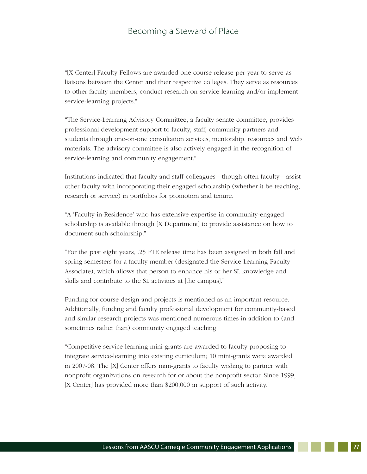"[X Center] Faculty Fellows are awarded one course release per year to serve as liaisons between the Center and their respective colleges. They serve as resources to other faculty members, conduct research on service-learning and/or implement service-learning projects."

"The Service-Learning Advisory Committee, a faculty senate committee, provides professional development support to faculty, staff, community partners and students through one-on-one consultation services, mentorship, resources and Web materials. The advisory committee is also actively engaged in the recognition of service-learning and community engagement."

Institutions indicated that faculty and staff colleagues—though often faculty—assist other faculty with incorporating their engaged scholarship (whether it be teaching, research or service) in portfolios for promotion and tenure.

"A 'Faculty-in-Residence' who has extensive expertise in community-engaged scholarship is available through [X Department] to provide assistance on how to document such scholarship."

"For the past eight years, .25 FTE release time has been assigned in both fall and spring semesters for a faculty member (designated the Service-Learning Faculty Associate), which allows that person to enhance his or her SL knowledge and skills and contribute to the SL activities at [the campus]."

Funding for course design and projects is mentioned as an important resource. Additionally, funding and faculty professional development for community-based and similar research projects was mentioned numerous times in addition to (and sometimes rather than) community engaged teaching.

"Competitive service-learning mini-grants are awarded to faculty proposing to integrate service-learning into existing curriculum; 10 mini-grants were awarded in 2007-08. The [X] Center offers mini-grants to faculty wishing to partner with nonprofit organizations on research for or about the nonprofit sector. Since 1999, [X Center] has provided more than \$200,000 in support of such activity."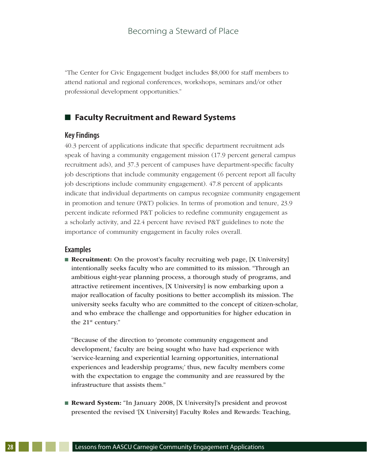"The Center for Civic Engagement budget includes \$8,000 for staff members to attend national and regional conferences, workshops, seminars and/or other professional development opportunities."

# **■ Faculty Recruitment and Reward Systems**

#### **Key Findings**

40.3 percent of applications indicate that specific department recruitment ads speak of having a community engagement mission (17.9 percent general campus recruitment ads), and 37.3 percent of campuses have department-specific faculty job descriptions that include community engagement (6 percent report all faculty job descriptions include community engagement). 47.8 percent of applicants indicate that individual departments on campus recognize community engagement in promotion and tenure (P&T) policies. In terms of promotion and tenure, 23.9 percent indicate reformed P&T policies to redefine community engagement as a scholarly activity, and 22.4 percent have revised P&T guidelines to note the importance of community engagement in faculty roles overall.

#### **Examples**

**Recruitment:** On the provost's faculty recruiting web page, [X University] intentionally seeks faculty who are committed to its mission. "Through an ambitious eight-year planning process, a thorough study of programs, and attractive retirement incentives, [X University] is now embarking upon a major reallocation of faculty positions to better accomplish its mission. The university seeks faculty who are committed to the concept of citizen-scholar, and who embrace the challenge and opportunities for higher education in the 21<sup>st</sup> century."

"Because of the direction to 'promote community engagement and development,' faculty are being sought who have had experience with 'service-learning and experiential learning opportunities, international experiences and leadership programs;' thus, new faculty members come with the expectation to engage the community and are reassured by the infrastructure that assists them."

**Reward System:** "In January 2008, [X University]'s president and provost presented the revised '[X University] Faculty Roles and Rewards: Teaching,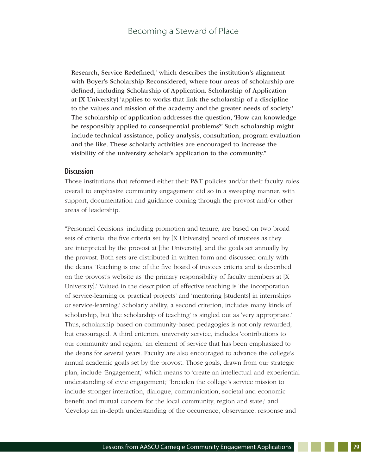Research, Service Redefined,' which describes the institution's alignment with Boyer's Scholarship Reconsidered, where four areas of scholarship are defined, including Scholarship of Application. Scholarship of Application at [X University] 'applies to works that link the scholarship of a discipline to the values and mission of the academy and the greater needs of society.' The scholarship of application addresses the question, 'How can knowledge be responsibly applied to consequential problems?' Such scholarship might include technical assistance, policy analysis, consultation, program evaluation and the like. These scholarly activities are encouraged to increase the visibility of the university scholar's application to the community."

#### **Discussion**

Those institutions that reformed either their P&T policies and/or their faculty roles overall to emphasize community engagement did so in a sweeping manner, with support, documentation and guidance coming through the provost and/or other areas of leadership.

"Personnel decisions, including promotion and tenure, are based on two broad sets of criteria: the five criteria set by [X University] board of trustees as they are interpreted by the provost at [the University], and the goals set annually by the provost. Both sets are distributed in written form and discussed orally with the deans. Teaching is one of the five board of trustees criteria and is described on the provost's website as 'the primary responsibility of faculty members at [X University].' Valued in the description of effective teaching is 'the incorporation of service-learning or practical projects' and 'mentoring [students] in internships or service-learning.' Scholarly ability, a second criterion, includes many kinds of scholarship, but 'the scholarship of teaching' is singled out as 'very appropriate.' Thus, scholarship based on community-based pedagogies is not only rewarded, but encouraged. A third criterion, university service, includes 'contributions to our community and region,' an element of service that has been emphasized to the deans for several years. Faculty are also encouraged to advance the college's annual academic goals set by the provost. Those goals, drawn from our strategic plan, include 'Engagement,' which means to 'create an intellectual and experiential understanding of civic engagement;' 'broaden the college's service mission to include stronger interaction, dialogue, communication, societal and economic benefit and mutual concern for the local community, region and state;' and 'develop an in-depth understanding of the occurrence, observance, response and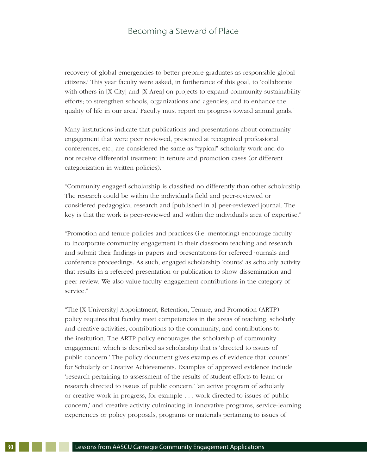recovery of global emergencies to better prepare graduates as responsible global citizens.' This year faculty were asked, in furtherance of this goal, to 'collaborate with others in [X City] and [X Area] on projects to expand community sustainability efforts; to strengthen schools, organizations and agencies; and to enhance the quality of life in our area.' Faculty must report on progress toward annual goals."

Many institutions indicate that publications and presentations about community engagement that were peer reviewed, presented at recognized professional conferences, etc., are considered the same as "typical" scholarly work and do not receive differential treatment in tenure and promotion cases (or different categorization in written policies).

"Community engaged scholarship is classified no differently than other scholarship. The research could be within the individual's field and peer-reviewed or considered pedagogical research and [published in a] peer-reviewed journal. The key is that the work is peer-reviewed and within the individual's area of expertise."

"Promotion and tenure policies and practices (i.e. mentoring) encourage faculty to incorporate community engagement in their classroom teaching and research and submit their findings in papers and presentations for refereed journals and conference proceedings. As such, engaged scholarship 'counts' as scholarly activity that results in a refereed presentation or publication to show dissemination and peer review. We also value faculty engagement contributions in the category of service."

"The [X University] Appointment, Retention, Tenure, and Promotion (ARTP) policy requires that faculty meet competencies in the areas of teaching, scholarly and creative activities, contributions to the community, and contributions to the institution. The ARTP policy encourages the scholarship of community engagement, which is described as scholarship that is 'directed to issues of public concern.' The policy document gives examples of evidence that 'counts' for Scholarly or Creative Achievements. Examples of approved evidence include 'research pertaining to assessment of the results of student efforts to learn or research directed to issues of public concern,' 'an active program of scholarly or creative work in progress, for example . . . work directed to issues of public concern,' and 'creative activity culminating in innovative programs, service-learning experiences or policy proposals, programs or materials pertaining to issues of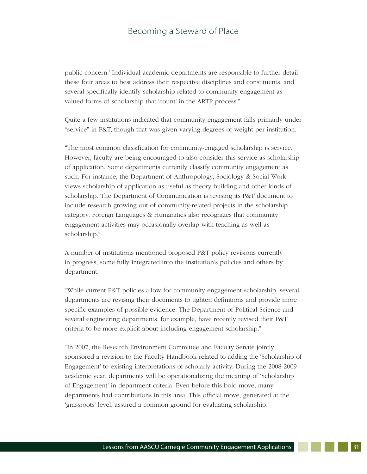public concern.' Individual academic departments are responsible to further detail these four areas to best address their respective disciplines and constituents, and several specifically identify scholarship related to community engagement as valued forms of scholarship that 'count' in the ARTP process."

Quite a few institutions indicated that community engagement falls primarily under "service" in P&T, though that was given varying degrees of weight per institution.

"The most common classification for community-engaged scholarship is service. However, faculty are being encouraged to also consider this service as scholarship of application. Some departments currently classify community engagement as such. For instance, the Department of Anthropology, Sociology & Social Work views scholarship of application as useful as theory building and other kinds of scholarship. The Department of Communication is revising its P&T document to include research growing out of community-related projects in the scholarship category. Foreign Languages & Humanities also recognizes that community engagement activities may occasionally overlap with teaching as well as scholarship."

A number of institutions mentioned proposed P&T policy revisions currently in progress, some fully integrated into the institution's policies and others by department.

"While current P&T policies allow for community engagement scholarship, several departments are revising their documents to tighten definitions and provide more specific examples of possible evidence. The Department of Political Science and several engineering departments, for example, have recently revised their P&T criteria to be more explicit about including engagement scholarship."

"In 2007, the Research Environment Committee and Faculty Senate jointly sponsored a revision to the Faculty Handbook related to adding the 'Scholarship of Engagement' to existing interpretations of scholarly activity. During the 2008-2009 academic year, departments will be operationalizing the meaning of 'Scholarship of Engagement' in department criteria. Even before this bold move, many departments had contributions in this area. This official move, generated at the 'grassroots' level, assured a common ground for evaluating scholarship."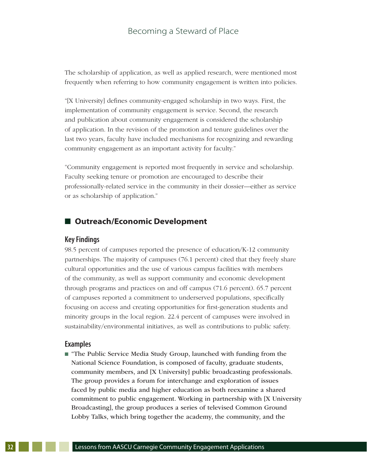The scholarship of application, as well as applied research, were mentioned most frequently when referring to how community engagement is written into policies.

"[X University] defines community-engaged scholarship in two ways. First, the implementation of community engagement is service. Second, the research and publication about community engagement is considered the scholarship of application. In the revision of the promotion and tenure guidelines over the last two years, faculty have included mechanisms for recognizing and rewarding community engagement as an important activity for faculty."

"Community engagement is reported most frequently in service and scholarship. Faculty seeking tenure or promotion are encouraged to describe their professionally-related service in the community in their dossier—either as service or as scholarship of application."

### ■ Outreach/Economic Development

#### **Key Findings**

98.5 percent of campuses reported the presence of education/K-12 community partnerships. The majority of campuses (76.1 percent) cited that they freely share cultural opportunities and the use of various campus facilities with members of the community, as well as support community and economic development through programs and practices on and off campus (71.6 percent). 65.7 percent of campuses reported a commitment to underserved populations, specifically focusing on access and creating opportunities for first-generation students and minority groups in the local region. 22.4 percent of campuses were involved in sustainability/environmental initiatives, as well as contributions to public safety.

#### **Examples**

n "The Public Service Media Study Group, launched with funding from the National Science Foundation, is composed of faculty, graduate students, community members, and [X University] public broadcasting professionals. The group provides a forum for interchange and exploration of issues faced by public media and higher education as both reexamine a shared commitment to public engagement. Working in partnership with [X University Broadcasting], the group produces a series of televised Common Ground Lobby Talks, which bring together the academy, the community, and the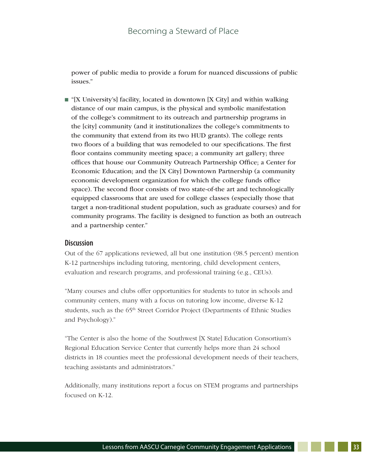power of public media to provide a forum for nuanced discussions of public issues."

 $\blacksquare$  "[X University's] facility, located in downtown [X City] and within walking distance of our main campus, is the physical and symbolic manifestation of the college's commitment to its outreach and partnership programs in the [city] community (and it institutionalizes the college's commitments to the community that extend from its two HUD grants). The college rents two floors of a building that was remodeled to our specifications. The first floor contains community meeting space; a community art gallery; three offices that house our Community Outreach Partnership Office; a Center for Economic Education; and the [X City] Downtown Partnership (a community economic development organization for which the college funds office space). The second floor consists of two state-of-the art and technologically equipped classrooms that are used for college classes (especially those that target a non-traditional student population, such as graduate courses) and for community programs. The facility is designed to function as both an outreach and a partnership center."

#### **Discussion**

Out of the 67 applications reviewed, all but one institution (98.5 percent) mention K-12 partnerships including tutoring, mentoring, child development centers, evaluation and research programs, and professional training (e.g., CEUs).

"Many courses and clubs offer opportunities for students to tutor in schools and community centers, many with a focus on tutoring low income, diverse K-12 students, such as the 65<sup>th</sup> Street Corridor Project (Departments of Ethnic Studies and Psychology)."

"The Center is also the home of the Southwest [X State] Education Consortium's Regional Education Service Center that currently helps more than 24 school districts in 18 counties meet the professional development needs of their teachers, teaching assistants and administrators."

Additionally, many institutions report a focus on STEM programs and partnerships focused on K-12.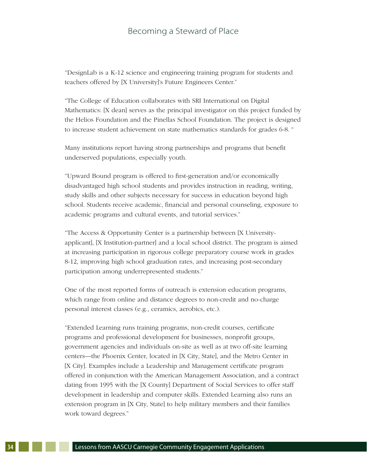"DesignLab is a K-12 science and engineering training program for students and teachers offered by [X University]'s Future Engineers Center."

"The College of Education collaborates with SRI International on Digital Mathematics: [X dean] serves as the principal investigator on this project funded by the Helios Foundation and the Pinellas School Foundation. The project is designed to increase student achievement on state mathematics standards for grades 6-8. "

Many institutions report having strong partnerships and programs that benefit underserved populations, especially youth.

"Upward Bound program is offered to first-generation and/or economically disadvantaged high school students and provides instruction in reading, writing, study skills and other subjects necessary for success in education beyond high school. Students receive academic, financial and personal counseling, exposure to academic programs and cultural events, and tutorial services."

"The Access & Opportunity Center is a partnership between [X Universityapplicant], [X Institution-partner] and a local school district. The program is aimed at increasing participation in rigorous college preparatory course work in grades 8-12, improving high school graduation rates, and increasing post-secondary participation among underrepresented students."

One of the most reported forms of outreach is extension education programs, which range from online and distance degrees to non-credit and no-charge personal interest classes (e.g., ceramics, aerobics, etc.).

"Extended Learning runs training programs, non-credit courses, certificate programs and professional development for businesses, nonprofit groups, government agencies and individuals on-site as well as at two off-site learning centers—the Phoenix Center, located in [X City, State], and the Metro Center in [X City]. Examples include a Leadership and Management certificate program offered in conjunction with the American Management Association, and a contract dating from 1995 with the [X County] Department of Social Services to offer staff development in leadership and computer skills. Extended Learning also runs an extension program in [X City, State] to help military members and their families work toward degrees."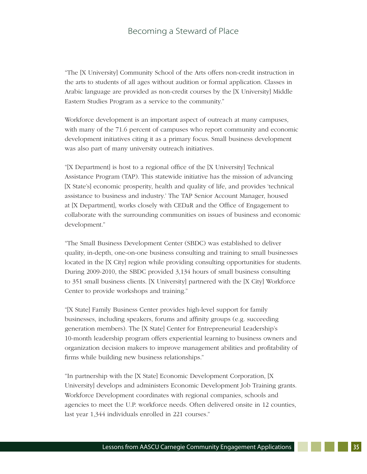"The [X University] Community School of the Arts offers non-credit instruction in the arts to students of all ages without audition or formal application. Classes in Arabic language are provided as non-credit courses by the [X University] Middle Eastern Studies Program as a service to the community."

Workforce development is an important aspect of outreach at many campuses, with many of the 71.6 percent of campuses who report community and economic development initiatives citing it as a primary focus. Small business development was also part of many university outreach initiatives.

"[X Department] is host to a regional office of the [X University] Technical Assistance Program (TAP). This statewide initiative has the mission of advancing [X State's] economic prosperity, health and quality of life, and provides 'technical assistance to business and industry.' The TAP Senior Account Manager, housed at [X Department], works closely with CEDaR and the Office of Engagement to collaborate with the surrounding communities on issues of business and economic development."

"The Small Business Development Center (SBDC) was established to deliver quality, in-depth, one-on-one business consulting and training to small businesses located in the [X City] region while providing consulting opportunities for students. During 2009-2010, the SBDC provided 3,134 hours of small business consulting to 351 small business clients. [X University] partnered with the [X City] Workforce Center to provide workshops and training."

"[X State] Family Business Center provides high-level support for family businesses, including speakers, forums and affinity groups (e.g. succeeding generation members). The [X State] Center for Entrepreneurial Leadership's 10-month leadership program offers experiential learning to business owners and organization decision makers to improve management abilities and profitability of firms while building new business relationships."

"In partnership with the [X State] Economic Development Corporation, [X University] develops and administers Economic Development Job Training grants. Workforce Development coordinates with regional companies, schools and agencies to meet the U.P. workforce needs. Often delivered onsite in 12 counties, last year 1,344 individuals enrolled in 221 courses."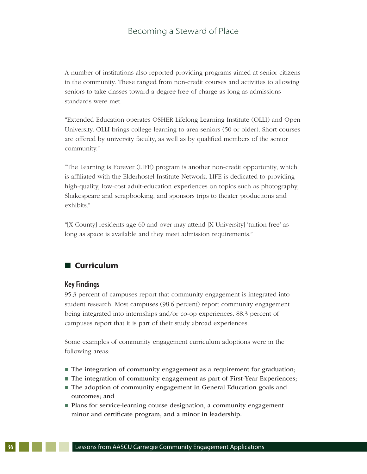A number of institutions also reported providing programs aimed at senior citizens in the community. These ranged from non-credit courses and activities to allowing seniors to take classes toward a degree free of charge as long as admissions standards were met.

"Extended Education operates OSHER Lifelong Learning Institute (OLLI) and Open University. OLLI brings college learning to area seniors (50 or older). Short courses are offered by university faculty, as well as by qualified members of the senior community."

"The Learning is Forever (LIFE) program is another non-credit opportunity, which is affiliated with the Elderhostel Institute Network. LIFE is dedicated to providing high-quality, low-cost adult-education experiences on topics such as photography, Shakespeare and scrapbooking, and sponsors trips to theater productions and exhibits<sup>"</sup>

"[X County] residents age 60 and over may attend [X University] 'tuition free' as long as space is available and they meet admission requirements."

# n **Curriculum**

#### **Key Findings**

95.3 percent of campuses report that community engagement is integrated into student research. Most campuses (98.6 percent) report community engagement being integrated into internships and/or co-op experiences. 88.3 percent of campuses report that it is part of their study abroad experiences.

Some examples of community engagement curriculum adoptions were in the following areas:

- $\blacksquare$  The integration of community engagement as a requirement for graduation;
- The integration of community engagement as part of First-Year Experiences;
- $\blacksquare$  The adoption of community engagement in General Education goals and outcomes; and
- Plans for service-learning course designation, a community engagement minor and certificate program, and a minor in leadership.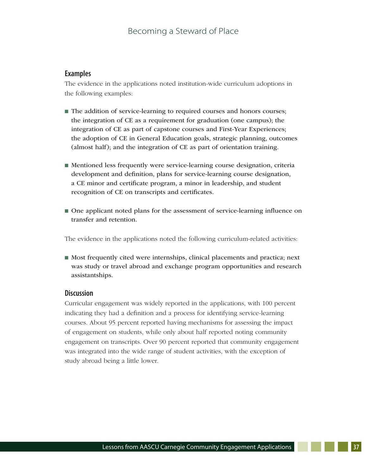### **Examples**

The evidence in the applications noted institution-wide curriculum adoptions in the following examples:

- $\blacksquare$  The addition of service-learning to required courses and honors courses; the integration of CE as a requirement for graduation (one campus); the integration of CE as part of capstone courses and First-Year Experiences; the adoption of CE in General Education goals, strategic planning, outcomes (almost half); and the integration of CE as part of orientation training.
- n Mentioned less frequently were service-learning course designation, criteria development and definition, plans for service-learning course designation, a CE minor and certificate program, a minor in leadership, and student recognition of CE on transcripts and certificates.
- n One applicant noted plans for the assessment of service-learning influence on transfer and retention.

The evidence in the applications noted the following curriculum-related activities:

n Most frequently cited were internships, clinical placements and practica; next was study or travel abroad and exchange program opportunities and research assistantships.

#### **Discussion**

Curricular engagement was widely reported in the applications, with 100 percent indicating they had a definition and a process for identifying service-learning courses. About 95 percent reported having mechanisms for assessing the impact of engagement on students, while only about half reported noting community engagement on transcripts. Over 90 percent reported that community engagement was integrated into the wide range of student activities, with the exception of study abroad being a little lower.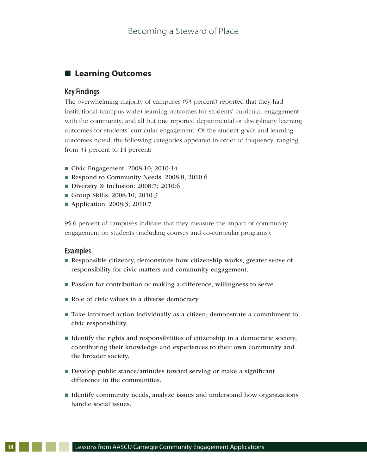# $\blacksquare$  Learning Outcomes

#### **Key Findings**

The overwhelming majority of campuses (93 percent) reported that they had institutional (campus-wide) learning outcomes for students' curricular engagement with the community, and all but one reported departmental or disciplinary learning outcomes for students' curricular engagement. Of the student goals and learning outcomes noted, the following categories appeared in order of frequency, ranging from 34 percent to 14 percent:

- Civic Engagement: 2008:10; 2010:14
- Respond to Community Needs: 2008:8; 2010:6
- Diversity & Inclusion: 2008:7; 2010:6
- Group Skills: 2008:10; 2010:3
- Application: 2008:3; 2010:7

95.6 percent of campuses indicate that they measure the impact of community engagement on students (including courses and co-curricular programs).

#### **Examples**

- n Responsible citizenry, demonstrate how citizenship works, greater sense of responsibility for civic matters and community engagement.
- Passion for contribution or making a difference, willingness to serve.
- Role of civic values in a diverse democracy.
- Take informed action individually as a citizen; demonstrate a commitment to civic responsibility.
- n Identify the rights and responsibilities of citizenship in a democratic society, contributing their knowledge and experiences to their own community and the broader society.
- Develop public stance/attitudes toward serving or make a significant difference in the communities.
- Identify community needs, analyze issues and understand how organizations handle social issues.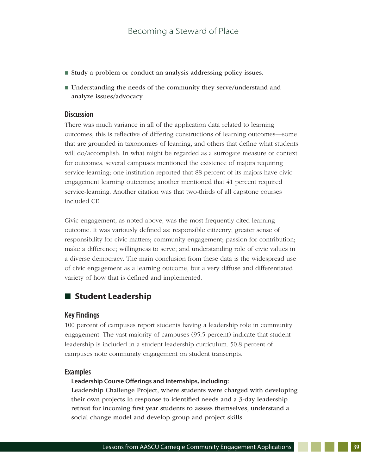- Study a problem or conduct an analysis addressing policy issues.
- Understanding the needs of the community they serve/understand and analyze issues/advocacy.

#### **Discussion**

There was much variance in all of the application data related to learning outcomes; this is reflective of differing constructions of learning outcomes—some that are grounded in taxonomies of learning, and others that define what students will do/accomplish. In what might be regarded as a surrogate measure or context for outcomes, several campuses mentioned the existence of majors requiring service-learning; one institution reported that 88 percent of its majors have civic engagement learning outcomes; another mentioned that 41 percent required service-learning. Another citation was that two-thirds of all capstone courses included CE.

Civic engagement, as noted above, was the most frequently cited learning outcome. It was variously defined as: responsible citizenry; greater sense of responsibility for civic matters; community engagement; passion for contribution; make a difference; willingness to serve; and understanding role of civic values in a diverse democracy. The main conclusion from these data is the widespread use of civic engagement as a learning outcome, but a very diffuse and differentiated variety of how that is defined and implemented.

# ■ Student Leadership

#### **Key Findings**

100 percent of campuses report students having a leadership role in community engagement. The vast majority of campuses (95.5 percent) indicate that student leadership is included in a student leadership curriculum. 50.8 percent of campuses note community engagement on student transcripts.

#### **Examples**

#### **Leadership Course Offerings and Internships, including:**

Leadership Challenge Project, where students were charged with developing their own projects in response to identified needs and a 3-day leadership retreat for incoming first year students to assess themselves, understand a social change model and develop group and project skills.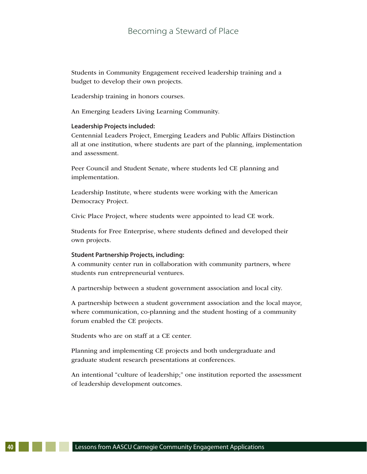Students in Community Engagement received leadership training and a budget to develop their own projects.

Leadership training in honors courses.

An Emerging Leaders Living Learning Community.

#### **Leadership Projects included:**

Centennial Leaders Project, Emerging Leaders and Public Affairs Distinction all at one institution, where students are part of the planning, implementation and assessment.

Peer Council and Student Senate, where students led CE planning and implementation.

Leadership Institute, where students were working with the American Democracy Project.

Civic Place Project, where students were appointed to lead CE work.

Students for Free Enterprise, where students defined and developed their own projects.

#### **Student Partnership Projects, including:**

A community center run in collaboration with community partners, where students run entrepreneurial ventures.

A partnership between a student government association and local city.

A partnership between a student government association and the local mayor, where communication, co-planning and the student hosting of a community forum enabled the CE projects.

Students who are on staff at a CE center.

Planning and implementing CE projects and both undergraduate and graduate student research presentations at conferences.

An intentional "culture of leadership;" one institution reported the assessment of leadership development outcomes.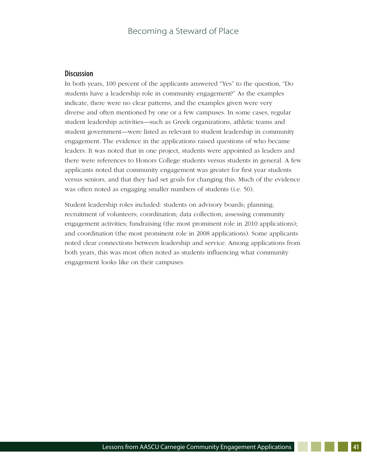## **Discussion**

In both years, 100 percent of the applicants answered "Yes" to the question, "Do students have a leadership role in community engagement?" As the examples indicate, there were no clear patterns, and the examples given were very diverse and often mentioned by one or a few campuses. In some cases, regular student leadership activities—such as Greek organizations, athletic teams and student government—were listed as relevant to student leadership in community engagement. The evidence in the applications raised questions of who became leaders. It was noted that in one project, students were appointed as leaders and there were references to Honors College students versus students in general. A few applicants noted that community engagement was greater for first year students versus seniors, and that they had set goals for changing this. Much of the evidence was often noted as engaging smaller numbers of students (i.e. 50).

Student leadership roles included: students on advisory boards; planning; recruitment of volunteers; coordination; data collection; assessing community engagement activities; fundraising (the most prominent role in 2010 applications); and coordination (the most prominent role in 2008 applications). Some applicants noted clear connections between leadership and service. Among applications from both years, this was most often noted as students influencing what community engagement looks like on their campuses.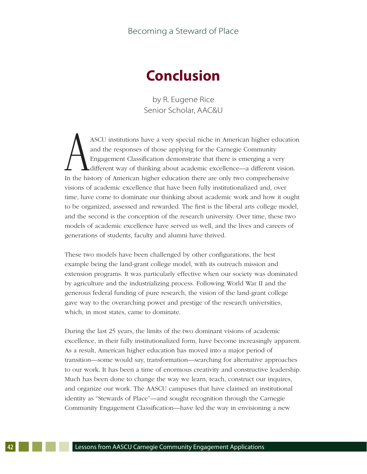# **Conclusion**

by R. Eugene Rice Senior Scholar, AAC&U

AASCU institutions have a very special niche in American higher education and the responses of those applying for the Carnegie Community Engagement Classification demonstrate that there is emerging a very different way of thinking about academic excellence—a different vision. In the history of American higher education there are only two comprehensive visions of academic excellence that have been fully institutionalized and, over time, have come to dominate our thinking about academic work and how it ought to be organized, assessed and rewarded. The first is the liberal arts college model, and the second is the conception of the research university. Over time, these two models of academic excellence have served us well, and the lives and careers of generations of students, faculty and alumni have thrived.

These two models have been challenged by other configurations, the best example being the land-grant college model, with its outreach mission and extension programs. It was particularly effective when our society was dominated by agriculture and the industrializing process. Following World War II and the generous federal funding of pure research, the vision of the land-grant college gave way to the overarching power and prestige of the research universities, which, in most states, came to dominate.

During the last 25 years, the limits of the two dominant visions of academic excellence, in their fully institutionalized form, have become increasingly apparent. As a result, American higher education has moved into a major period of transition—some would say, transformation—searching for alternative approaches to our work. It has been a time of enormous creativity and constructive leadership. Much has been done to change the way we learn, teach, construct our inquires, and organize our work. The AASCU campuses that have claimed an institutional identity as "Stewards of Place"—and sought recognition through the Carnegie Community Engagement Classification—have led the way in envisioning a new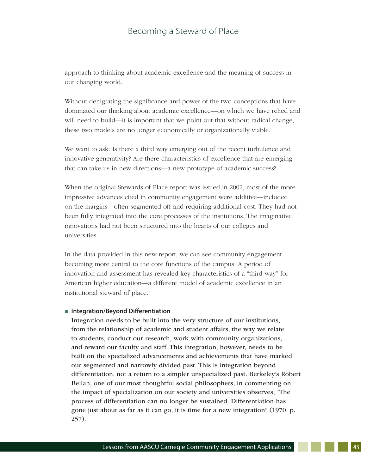approach to thinking about academic excellence and the meaning of success in our changing world.

Without denigrating the significance and power of the two conceptions that have dominated our thinking about academic excellence—on which we have relied and will need to build—it is important that we point out that without radical change, these two models are no longer economically or organizationally viable.

We want to ask: Is there a third way emerging out of the recent turbulence and innovative generativity? Are there characteristics of excellence that are emerging that can take us in new directions—a new prototype of academic success?

When the original Stewards of Place report was issued in 2002, most of the more impressive advances cited in community engagement were additive—included on the margins—often segmented off and requiring additional cost. They had not been fully integrated into the core processes of the institutions. The imaginative innovations had not been structured into the hearts of our colleges and universities.

In the data provided in this new report, we can see community engagement becoming more central to the core functions of the campus. A period of innovation and assessment has revealed key characteristics of a "third way" for American higher education—a different model of academic excellence in an institutional steward of place.

#### ■ Integration/Beyond Differentiation

Integration needs to be built into the very structure of our institutions, from the relationship of academic and student affairs, the way we relate to students, conduct our research, work with community organizations, and reward our faculty and staff. This integration, however, needs to be built on the specialized advancements and achievements that have marked our segmented and narrowly divided past. This is integration beyond differentiation, not a return to a simpler unspecialized past. Berkeley's Robert Bellah, one of our most thoughtful social philosophers, in commenting on the impact of specialization on our society and universities observes, "The process of differentiation can no longer be sustained. Differentiation has gone just about as far as it can go, it is time for a new integration" (1970, p. 257).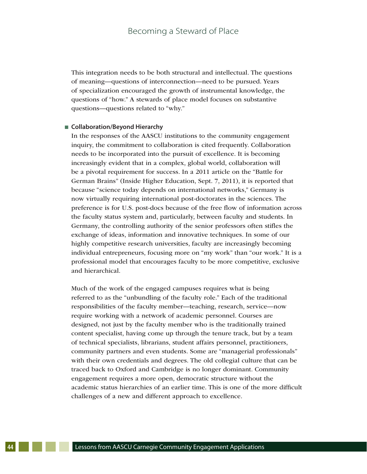This integration needs to be both structural and intellectual. The questions of meaning—questions of interconnection—need to be pursued. Years of specialization encouraged the growth of instrumental knowledge, the questions of "how." A stewards of place model focuses on substantive questions—questions related to "why."

#### ■ Collaboration/Beyond Hierarchy

In the responses of the AASCU institutions to the community engagement inquiry, the commitment to collaboration is cited frequently. Collaboration needs to be incorporated into the pursuit of excellence. It is becoming increasingly evident that in a complex, global world, collaboration will be a pivotal requirement for success. In a 2011 article on the "Battle for German Brains" (Inside Higher Education, Sept. 7, 2011), it is reported that because "science today depends on international networks," Germany is now virtually requiring international post-doctorates in the sciences. The preference is for U.S. post-docs because of the free flow of information across the faculty status system and, particularly, between faculty and students. In Germany, the controlling authority of the senior professors often stifles the exchange of ideas, information and innovative techniques. In some of our highly competitive research universities, faculty are increasingly becoming individual entrepreneurs, focusing more on "my work" than "our work." It is a professional model that encourages faculty to be more competitive, exclusive and hierarchical.

Much of the work of the engaged campuses requires what is being referred to as the "unbundling of the faculty role." Each of the traditional responsibilities of the faculty member—teaching, research, service—now require working with a network of academic personnel. Courses are designed, not just by the faculty member who is the traditionally trained content specialist, having come up through the tenure track, but by a team of technical specialists, librarians, student affairs personnel, practitioners, community partners and even students. Some are "managerial professionals" with their own credentials and degrees. The old collegial culture that can be traced back to Oxford and Cambridge is no longer dominant. Community engagement requires a more open, democratic structure without the academic status hierarchies of an earlier time. This is one of the more difficult challenges of a new and different approach to excellence.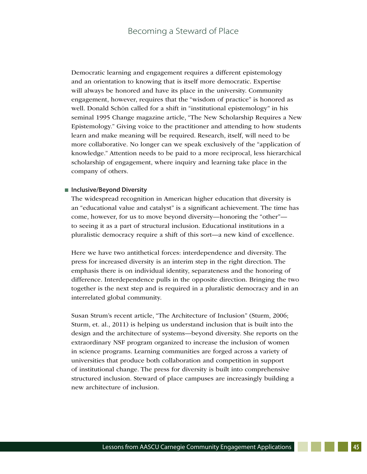Democratic learning and engagement requires a different epistemology and an orientation to knowing that is itself more democratic. Expertise will always be honored and have its place in the university. Community engagement, however, requires that the "wisdom of practice" is honored as well. Donald Schön called for a shift in "institutional epistemology" in his seminal 1995 Change magazine article, "The New Scholarship Requires a New Epistemology." Giving voice to the practitioner and attending to how students learn and make meaning will be required. Research, itself, will need to be more collaborative. No longer can we speak exclusively of the "application of knowledge." Attention needs to be paid to a more reciprocal, less hierarchical scholarship of engagement, where inquiry and learning take place in the company of others.

#### ■ **Inclusive/Beyond Diversity**

The widespread recognition in American higher education that diversity is an "educational value and catalyst" is a significant achievement. The time has come, however, for us to move beyond diversity—honoring the "other" to seeing it as a part of structural inclusion. Educational institutions in a pluralistic democracy require a shift of this sort—a new kind of excellence.

Here we have two antithetical forces: interdependence and diversity. The press for increased diversity is an interim step in the right direction. The emphasis there is on individual identity, separateness and the honoring of difference. Interdependence pulls in the opposite direction. Bringing the two together is the next step and is required in a pluralistic democracy and in an interrelated global community.

 Susan Strum's recent article, "The Architecture of Inclusion" (Sturm, 2006; Sturm, et. al., 2011) is helping us understand inclusion that is built into the design and the architecture of systems—beyond diversity. She reports on the extraordinary NSF program organized to increase the inclusion of women in science programs. Learning communities are forged across a variety of universities that produce both collaboration and competition in support of institutional change. The press for diversity is built into comprehensive structured inclusion. Steward of place campuses are increasingly building a new architecture of inclusion.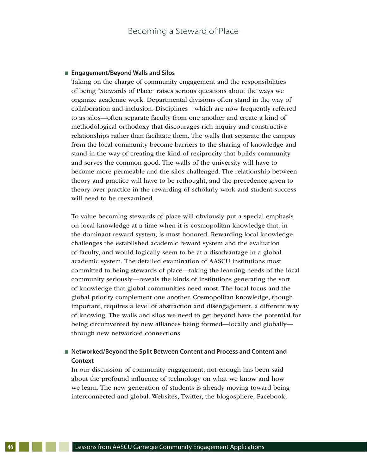#### ■ **Engagement/Beyond Walls and Silos**

Taking on the charge of community engagement and the responsibilities of being "Stewards of Place" raises serious questions about the ways we organize academic work. Departmental divisions often stand in the way of collaboration and inclusion. Disciplines—which are now frequently referred to as silos—often separate faculty from one another and create a kind of methodological orthodoxy that discourages rich inquiry and constructive relationships rather than facilitate them. The walls that separate the campus from the local community become barriers to the sharing of knowledge and stand in the way of creating the kind of reciprocity that builds community and serves the common good. The walls of the university will have to become more permeable and the silos challenged. The relationship between theory and practice will have to be rethought, and the precedence given to theory over practice in the rewarding of scholarly work and student success will need to be reexamined.

To value becoming stewards of place will obviously put a special emphasis on local knowledge at a time when it is cosmopolitan knowledge that, in the dominant reward system, is most honored. Rewarding local knowledge challenges the established academic reward system and the evaluation of faculty, and would logically seem to be at a disadvantage in a global academic system. The detailed examination of AASCU institutions most committed to being stewards of place—taking the learning needs of the local community seriously—reveals the kinds of institutions generating the sort of knowledge that global communities need most. The local focus and the global priority complement one another. Cosmopolitan knowledge, though important, requires a level of abstraction and disengagement, a different way of knowing. The walls and silos we need to get beyond have the potential for being circumvented by new alliances being formed—locally and globally through new networked connections.

#### ■ Networked/Beyond the Split Between Content and Process and Content and **Context**

In our discussion of community engagement, not enough has been said about the profound influence of technology on what we know and how we learn. The new generation of students is already moving toward being interconnected and global. Websites, Twitter, the blogosphere, Facebook,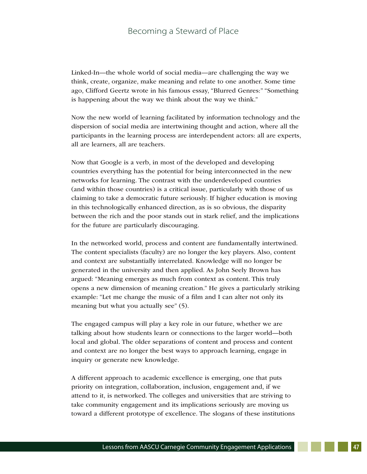Linked-In—the whole world of social media—are challenging the way we think, create, organize, make meaning and relate to one another. Some time ago, Clifford Geertz wrote in his famous essay, "Blurred Genres:" "Something is happening about the way we think about the way we think."

Now the new world of learning facilitated by information technology and the dispersion of social media are intertwining thought and action, where all the participants in the learning process are interdependent actors: all are experts, all are learners, all are teachers.

Now that Google is a verb, in most of the developed and developing countries everything has the potential for being interconnected in the new networks for learning. The contrast with the underdeveloped countries (and within those countries) is a critical issue, particularly with those of us claiming to take a democratic future seriously. If higher education is moving in this technologically enhanced direction, as is so obvious, the disparity between the rich and the poor stands out in stark relief, and the implications for the future are particularly discouraging.

In the networked world, process and content are fundamentally intertwined. The content specialists (faculty) are no longer the key players. Also, content and context are substantially interrelated. Knowledge will no longer be generated in the university and then applied. As John Seely Brown has argued: "Meaning emerges as much from context as content. This truly opens a new dimension of meaning creation." He gives a particularly striking example: "Let me change the music of a film and I can alter not only its meaning but what you actually see" (5).

The engaged campus will play a key role in our future, whether we are talking about how students learn or connections to the larger world—both local and global. The older separations of content and process and content and context are no longer the best ways to approach learning, engage in inquiry or generate new knowledge.

A different approach to academic excellence is emerging, one that puts priority on integration, collaboration, inclusion, engagement and, if we attend to it, is networked. The colleges and universities that are striving to take community engagement and its implications seriously are moving us toward a different prototype of excellence. The slogans of these institutions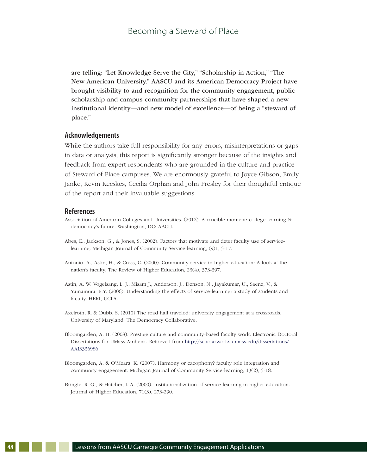are telling: "Let Knowledge Serve the City," "Scholarship in Action," "The New American University." AASCU and its American Democracy Project have brought visibility to and recognition for the community engagement, public scholarship and campus community partnerships that have shaped a new institutional identity—and new model of excellence—of being a "steward of place."

#### **Acknowledgements**

While the authors take full responsibility for any errors, misinterpretations or gaps in data or analysis, this report is significantly stronger because of the insights and feedback from expert respondents who are grounded in the culture and practice of Steward of Place campuses. We are enormously grateful to Joyce Gibson, Emily Janke, Kevin Kecskes, Cecilia Orphan and John Presley for their thoughtful critique of the report and their invaluable suggestions.

#### **References**

- Association of American Colleges and Universities. (2012). A crucible moment: college learning & democracy's future. Washington, DC: AACU.
- Abes, E., Jackson, G., & Jones, S. (2002). Factors that motivate and deter faculty use of servicelearning. Michigan Journal of Community Service-learning, (9)1, 5-17.
- Antonio, A., Astin, H., & Cress, C. (2000). Community service in higher education: A look at the nation's faculty. The Review of Higher Education, 23(4), 373-397.
- Astin, A. W. Vogelsang, L. J., Misam J., Anderson, J., Denson, N., Jayakumar, U., Saenz, V., & Yamamura, E.Y. (2006). Understanding the effects of service-learning: a study of students and faculty. HERI, UCLA.
- Axelroth, R. & Dubb, S. (2010) The road half traveled: university engagement at a crossroads. University of Maryland: The Democracy Collaborative.
- Bloomgarden, A. H. (2008). Prestige culture and community-based faculty work. Electronic Doctoral Dissertations for UMass Amherst. Retrieved from http://scholarworks.umass.edu/dissertations/ AAI3336986
- Bloomgarden, A. & O'Meara, K. (2007). Harmony or cacophony? faculty role integration and community engagement. Michigan Journal of Community Service-learning, 13(2), 5-18.
- Bringle, R. G., & Hatcher, J. A. (2000). Institutionalization of service-learning in higher education. Journal of Higher Education, 71(3), 273-290.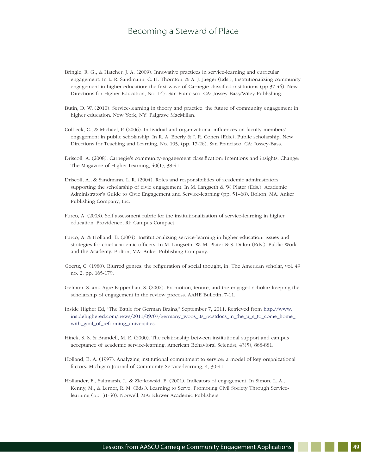- Bringle, R. G., & Hatcher, J. A. (2009). Innovative practices in service-learning and curricular engagement. In L. R. Sandmann, C. H. Thornton, & A. J. Jaeger (Eds.), Institutionalizing community engagement in higher education: the first wave of Carnegie classified institutions (pp.37-46). New Directions for Higher Education, No. 147. San Francisco, CA: Jossey-Bass/Wiley Publishing.
- Butin, D. W. (2010). Service-learning in theory and practice: the future of community engagement in higher education. New York, NY: Palgrave MacMillan.
- Colbeck, C., & Michael, P. (2006). Individual and organizational influences on faculty members' engagement in public scholarship. In R. A. Eberly & J. R. Cohen (Eds.), Public scholarship. New Directions for Teaching and Learning, No. 105, (pp. 17-26). San Francisco, CA: Jossey-Bass.
- Driscoll, A. (2008). Carnegie's community-engagement classification: Intentions and insights. Change: The Magazine of Higher Learning, 40(1), 38-41.
- Driscoll, A., & Sandmann, L. R. (2004). Roles and responsibilities of academic administrators: supporting the scholarship of civic engagement. In M. Langseth & W. Plater (Eds.). Academic Administrator's Guide to Civic Engagement and Service-learning (pp. 51–68). Bolton, MA: Anker Publishing Company, Inc.
- Furco, A. (2003). Self assessment rubric for the institutionalization of service-learning in higher education. Providence, RI: Campus Compact.
- Furco, A. & Holland, B. (2004). Institutionalizing service-learning in higher education: issues and strategies for chief academic officers. In M. Langseth, W. M. Plater & S. Dillon (Eds.). Public Work and the Academy. Bolton, MA: Anker Publishing Company.
- Geertz, C. (1980). Blurred genres: the refiguration of social thought, in: The American scholar, vol. 49 no. 2, pp. 165-179.
- Gelmon, S. and Agre-Kippenhan, S. (2002). Promotion, tenure, and the engaged scholar: keeping the scholarship of engagement in the review process. AAHE Bulletin, 7-11.
- Inside Higher Ed, "The Battle for German Brains," September 7, 2011. Retrieved from http://www. insidehighered.com/news/2011/09/07/germany\_woos\_its\_postdocs\_in\_the\_u\_s\_to\_come\_home\_ with\_goal\_of\_reforming\_universities.
- Hinck, S. S. & Brandell, M. E. (2000). The relationship between institutional support and campus acceptance of academic service-learning. American Behavioral Scientist, 43(5), 868-881.
- Holland, B. A. (1997). Analyzing institutional commitment to service: a model of key organizational factors. Michigan Journal of Community Service-learning, 4, 30-41.
- Hollander, E., Saltmarsh, J., & Zlotkowski, E. (2001). Indicators of engagement. In Simon, L. A., Kenny, M., & Lerner, R. M. (Eds.). Learning to Serve: Promoting Civil Society Through Servicelearning (pp. 31-50). Norwell, MA: Kluwer Academic Publishers.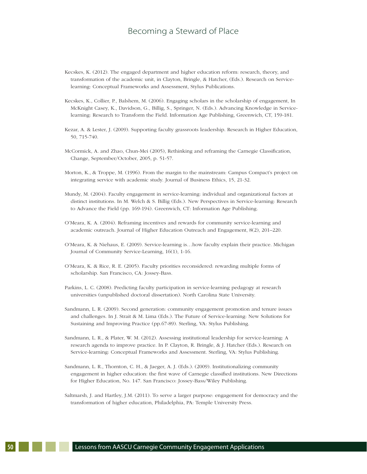- Kecskes, K. (2012). The engaged department and higher education reform: research, theory, and transformation of the academic unit, in Clayton, Bringle, & Hatcher, (Eds.). Research on Servicelearning: Conceptual Frameworks and Assessment, Stylus Publications.
- Kecskes, K., Collier, P., Balshem, M. (2006). Engaging scholars in the scholarship of engagement, In McKnight Casey, K., Davidson, G., Billig, S., Springer, N. (Eds.). Advancing Knowledge in Servicelearning: Research to Transform the Field. Information Age Publishing, Greenwich, CT, 159-181.
- Kezar, A. & Lester, J. (2009). Supporting faculty grassroots leadership. Research in Higher Education, 50, 715-740.
- McCormick, A. and Zhao, Chun-Mei (2005), Rethinking and reframing the Carnegie Classification, Change, September/October, 2005, p. 51-57.
- Morton, K., & Troppe, M. (1996). From the margin to the mainstream: Campus Compact's project on integrating service with academic study. Journal of Business Ethics, 15, 21-32.
- Mundy, M. (2004). Faculty engagement in service-learning: individual and organizational factors at distinct institutions. In M. Welch & S. Billig (Eds.). New Perspectives in Service-learning: Research to Advance the Field (pp. 169-194). Greenwich, CT: Information Age Publishing.
- O'Meara, K. A. (2004). Reframing incentives and rewards for community service-learning and academic outreach. Journal of Higher Education Outreach and Engagement, 8(2), 201–220.
- O'Meara, K. & Niehaus, E. (2009). Service-learning is…how faculty explain their practice. Michigan Journal of Community Service-Learning, 16(1), 1-16.
- O'Meara, K. & Rice, R. E. (2005). Faculty priorities reconsidered: rewarding multiple forms of scholarship. San Francisco, CA: Jossey-Bass.
- Parkins, L. C. (2008). Predicting faculty participation in service-learning pedagogy at research universities (unpublished doctoral dissertation). North Carolina State University.
- Sandmann, L. R. (2009). Second generation: community engagement promotion and tenure issues and challenges. In J. Strait & M. Lima (Eds.). The Future of Service-learning: New Solutions for Sustaining and Improving Practice (pp.67-89). Sterling, VA: Stylus Publishing.
- Sandmann, L. R., & Plater, W. M. (2012). Assessing institutional leadership for service-learning: A research agenda to improve practice. In P. Clayton, R. Bringle, & J. Hatcher (Eds.). Research on Service-learning: Conceptual Frameworks and Assessment. Sterling, VA: Stylus Publishing.
- Sandmann, L. R., Thornton, C. H., & Jaeger, A. J. (Eds.). (2009). Institutionalizing community engagement in higher education: the first wave of Carnegie classified institutions. New Directions for Higher Education, No. 147. San Francisco: Jossey-Bass/Wiley Publishing.
- Saltmarsh, J. and Hartley, J.M. (2011). To serve a larger purpose: engagement for democracy and the transformation of higher education, Philadelphia, PA: Temple University Press.